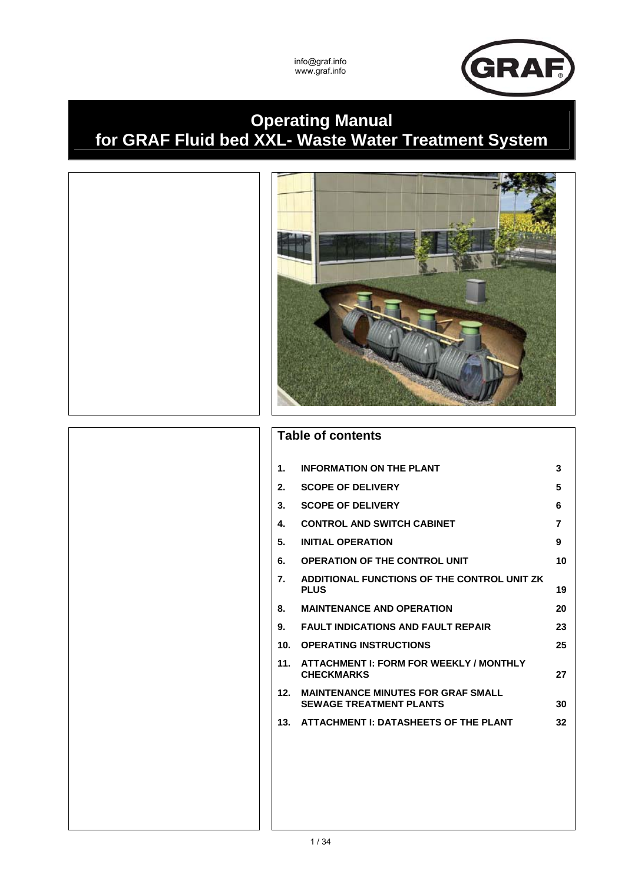

# **Operating Manual for GRAF Fluid bed XXL- Waste Water Treatment System**



# **Table of contents**

| 1.  | <b>INFORMATION ON THE PLANT</b>                                             | 3  |
|-----|-----------------------------------------------------------------------------|----|
| 2.  | <b>SCOPE OF DELIVERY</b>                                                    | 5  |
| 3.  | <b>SCOPE OF DELIVERY</b>                                                    | 6  |
| 4.  | <b>CONTROL AND SWITCH CABINET</b>                                           | 7  |
| 5.  | <b>INITIAL OPERATION</b>                                                    | 9  |
| 6.  | <b>OPERATION OF THE CONTROL UNIT</b>                                        | 10 |
| 7.  | ADDITIONAL FUNCTIONS OF THE CONTROL UNIT ZK<br><b>PLUS</b>                  | 19 |
| 8.  | <b>MAINTENANCE AND OPERATION</b>                                            | 20 |
| 9.  | <b>FAULT INDICATIONS AND FAULT REPAIR</b>                                   | 23 |
| 10. | <b>OPERATING INSTRUCTIONS</b>                                               | 25 |
| 11. | <b>ATTACHMENT I: FORM FOR WEEKLY / MONTHLY</b><br><b>CHECKMARKS</b>         | 27 |
| 12. | <b>MAINTENANCE MINUTES FOR GRAF SMALL</b><br><b>SEWAGE TREATMENT PLANTS</b> | 30 |
| 13. | ATTACHMENT I: DATASHEETS OF THE PLANT                                       | 32 |
|     |                                                                             |    |
|     |                                                                             |    |
|     |                                                                             |    |
|     |                                                                             |    |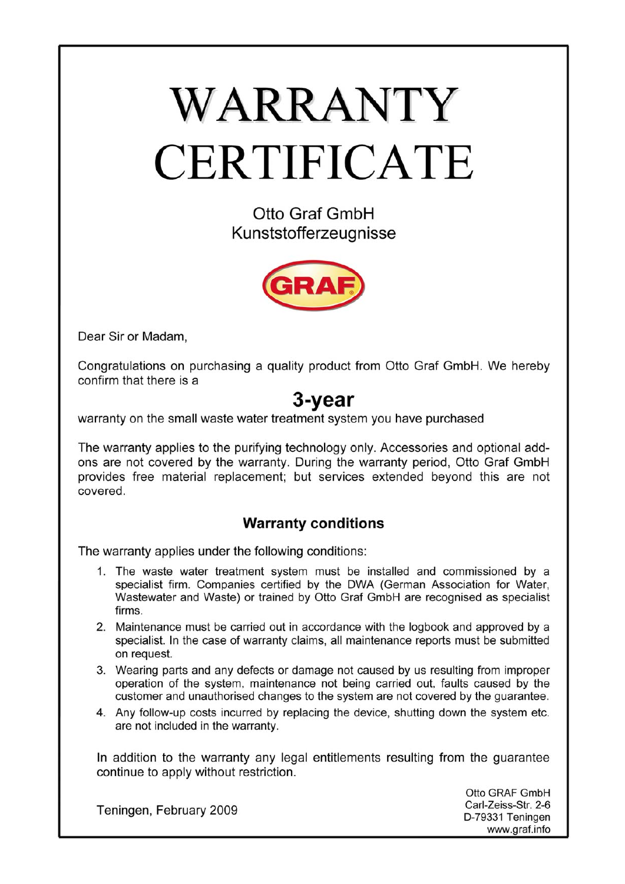# WARRANTY CERTIFICATE

Otto Graf GmbH Kunststofferzeugnisse



Dear Sir or Madam.

Congratulations on purchasing a quality product from Otto Graf GmbH. We hereby confirm that there is a

# 3-year

warranty on the small waste water treatment system you have purchased

The warranty applies to the purifying technology only. Accessories and optional addons are not covered by the warranty. During the warranty period, Otto Graf GmbH provides free material replacement; but services extended beyond this are not covered

# **Warranty conditions**

The warranty applies under the following conditions:

- 1. The waste water treatment system must be installed and commissioned by a specialist firm. Companies certified by the DWA (German Association for Water, Wastewater and Waste) or trained by Otto Graf GmbH are recognised as specialist firms
- 2. Maintenance must be carried out in accordance with the logbook and approved by a specialist. In the case of warranty claims, all maintenance reports must be submitted on request.
- 3. Wearing parts and any defects or damage not caused by us resulting from improper operation of the system, maintenance not being carried out, faults caused by the customer and unauthorised changes to the system are not covered by the quarantee.
- 4. Any follow-up costs incurred by replacing the device, shutting down the system etc. are not included in the warranty.

In addition to the warranty any legal entitlements resulting from the guarantee continue to apply without restriction.

Teningen, February 2009

Otto GRAF GmbH Carl-Zeiss-Str. 2-6 D-79331 Teningen www.graf.info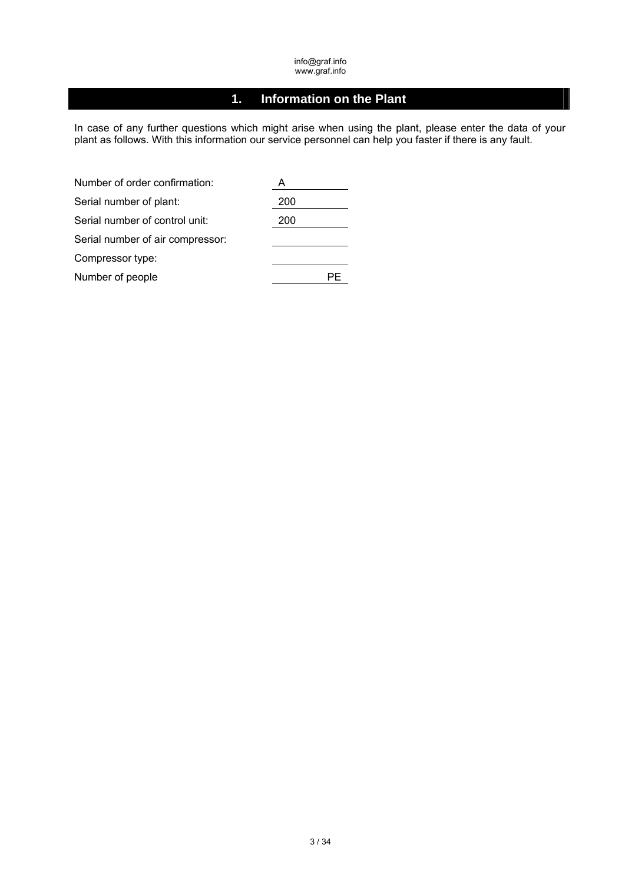# **1. Information on the Plant**

In case of any further questions which might arise when using the plant, please enter the data of your plant as follows. With this information our service personnel can help you faster if there is any fault.

| Number of order confirmation:    | A   |
|----------------------------------|-----|
| Serial number of plant:          | 200 |
| Serial number of control unit:   | 200 |
| Serial number of air compressor: |     |
| Compressor type:                 |     |
| Number of people                 |     |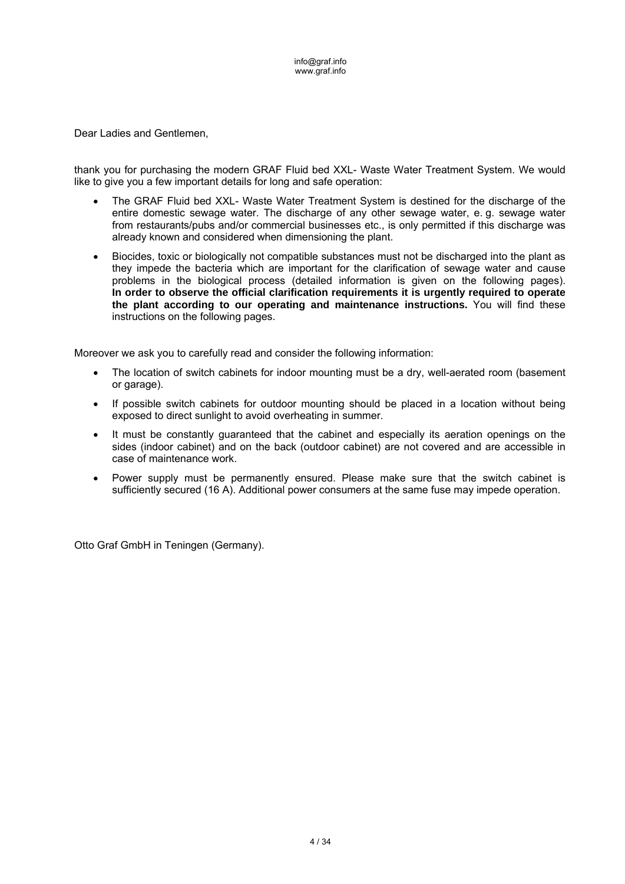Dear Ladies and Gentlemen,

thank you for purchasing the modern GRAF Fluid bed XXL- Waste Water Treatment System. We would like to give you a few important details for long and safe operation:

- The GRAF Fluid bed XXL- Waste Water Treatment System is destined for the discharge of the entire domestic sewage water. The discharge of any other sewage water, e. g. sewage water from restaurants/pubs and/or commercial businesses etc., is only permitted if this discharge was already known and considered when dimensioning the plant.
- Biocides, toxic or biologically not compatible substances must not be discharged into the plant as they impede the bacteria which are important for the clarification of sewage water and cause problems in the biological process (detailed information is given on the following pages). **In order to observe the official clarification requirements it is urgently required to operate the plant according to our operating and maintenance instructions.** You will find these instructions on the following pages.

Moreover we ask you to carefully read and consider the following information:

- The location of switch cabinets for indoor mounting must be a dry, well-aerated room (basement or garage).
- If possible switch cabinets for outdoor mounting should be placed in a location without being exposed to direct sunlight to avoid overheating in summer.
- It must be constantly guaranteed that the cabinet and especially its aeration openings on the sides (indoor cabinet) and on the back (outdoor cabinet) are not covered and are accessible in case of maintenance work.
- Power supply must be permanently ensured. Please make sure that the switch cabinet is sufficiently secured (16 A). Additional power consumers at the same fuse may impede operation.

Otto Graf GmbH in Teningen (Germany).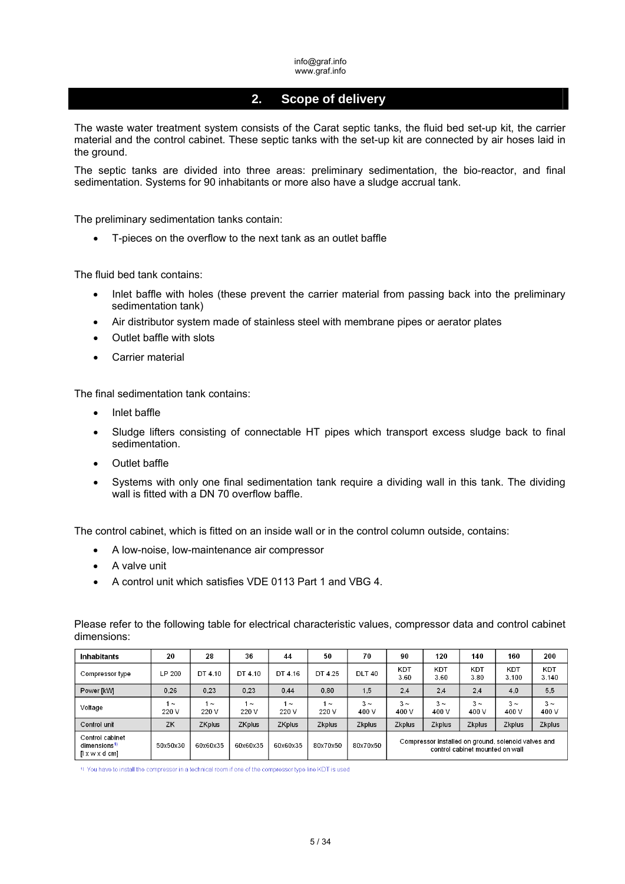# **2. Scope of delivery**

The waste water treatment system consists of the Carat septic tanks, the fluid bed set-up kit, the carrier material and the control cabinet. These septic tanks with the set-up kit are connected by air hoses laid in the ground.

The septic tanks are divided into three areas: preliminary sedimentation, the bio-reactor, and final sedimentation. Systems for 90 inhabitants or more also have a sludge accrual tank.

The preliminary sedimentation tanks contain:

T-pieces on the overflow to the next tank as an outlet baffle

The fluid bed tank contains:

- Inlet baffle with holes (these prevent the carrier material from passing back into the preliminary sedimentation tank)
- Air distributor system made of stainless steel with membrane pipes or aerator plates
- Outlet baffle with slots
- Carrier material

The final sedimentation tank contains:

- Inlet baffle
- Sludge lifters consisting of connectable HT pipes which transport excess sludge back to final sedimentation.
- Outlet baffle
- Systems with only one final sedimentation tank require a dividing wall in this tank. The dividing wall is fitted with a DN 70 overflow baffle.

The control cabinet, which is fitted on an inside wall or in the control column outside, contains:

- A low-noise, low-maintenance air compressor
- A valve unit
- A control unit which satisfies VDE 0113 Part 1 and VBG 4.

| <b>Inhabitants</b>                                                         | 20                | 28                | 36                | 44              | 50                | 70                | 90                | 120               | 140                             | 160                                                 | 200                 |
|----------------------------------------------------------------------------|-------------------|-------------------|-------------------|-----------------|-------------------|-------------------|-------------------|-------------------|---------------------------------|-----------------------------------------------------|---------------------|
| Compressor type                                                            | LP 200            | DT 4.10           | DT 4.10           | DT 4.16         | DT 4.25           | <b>DLT 40</b>     | KDT<br>3.60       | KDT<br>3.60       | KDT<br>3.80                     | KDT<br>3.100                                        | <b>KDT</b><br>3.140 |
| Power [kW]                                                                 | 0.26              | 0.23              | 0.23              | 0.44            | 0.80              | 15                | 2.4               | 2.4               | 2.4                             | 4.0                                                 | 5,5                 |
| Voltage                                                                    | 1 $\sim$<br>220 V | $1 \sim$<br>220 V | 1 $\sim$<br>220 V | $\sim$<br>220 V | 1 $\sim$<br>220 V | $3 \sim$<br>400 V | $3 \sim$<br>400 V | $3 \sim$<br>400 V | $3 \sim$<br>400 V               | $3 \sim$<br>400 V                                   | $3 \sim$<br>400 V   |
| Control unit                                                               | ZK                | <b>ZKplus</b>     | <b>ZKplus</b>     | ZKplus          | <b>Zkplus</b>     | Zkplus            | Zkplus            | <b>Zkplus</b>     | Zkplus                          | Zkplus                                              | Zkplus              |
| Control cabinet<br>dimensions <sup>1)</sup><br>$\left[ \right]$ x w x d cm | 50x50x30          | 60x60x35          | 60x60x35          | 60x60x35        | 80x70x50          | 80x70x50          |                   |                   | control cabinet mounted on wall | Compressor installed on ground, solenoid valves and |                     |

Please refer to the following table for electrical characteristic values, compressor data and control cabinet dimensions:

1) You have to install the compressor in a technical room if one of the compressor type line KDT is used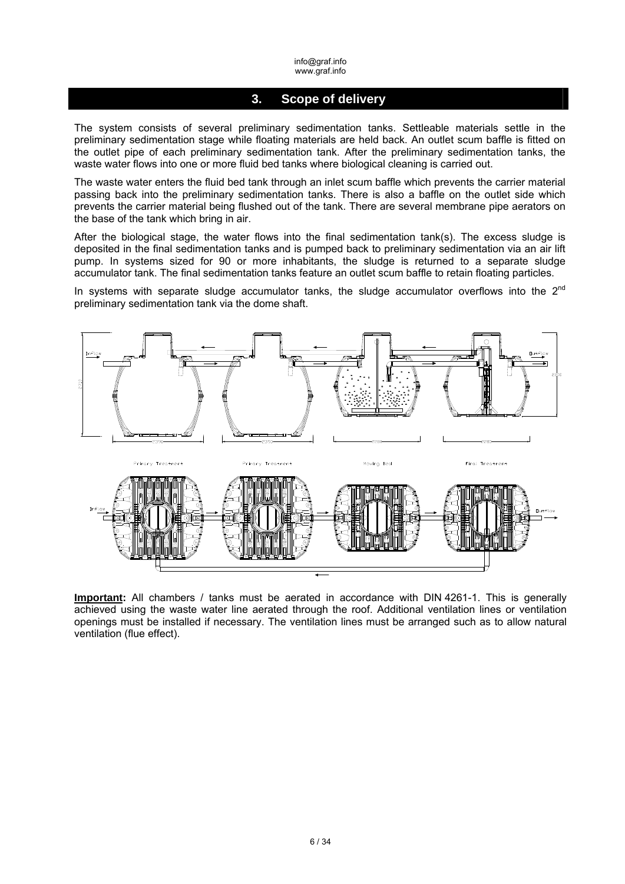## **3. Scope of delivery**

The system consists of several preliminary sedimentation tanks. Settleable materials settle in the preliminary sedimentation stage while floating materials are held back. An outlet scum baffle is fitted on the outlet pipe of each preliminary sedimentation tank. After the preliminary sedimentation tanks, the waste water flows into one or more fluid bed tanks where biological cleaning is carried out.

The waste water enters the fluid bed tank through an inlet scum baffle which prevents the carrier material passing back into the preliminary sedimentation tanks. There is also a baffle on the outlet side which prevents the carrier material being flushed out of the tank. There are several membrane pipe aerators on the base of the tank which bring in air.

After the biological stage, the water flows into the final sedimentation  $tanh(s)$ . The excess sludge is deposited in the final sedimentation tanks and is pumped back to preliminary sedimentation via an air lift pump. In systems sized for 90 or more inhabitants, the sludge is returned to a separate sludge accumulator tank. The final sedimentation tanks feature an outlet scum baffle to retain floating particles.

In systems with separate sludge accumulator tanks, the sludge accumulator overflows into the  $2<sup>nd</sup>$ preliminary sedimentation tank via the dome shaft.



**Important:** All chambers / tanks must be aerated in accordance with DIN 4261-1. This is generally achieved using the waste water line aerated through the roof. Additional ventilation lines or ventilation openings must be installed if necessary. The ventilation lines must be arranged such as to allow natural ventilation (flue effect).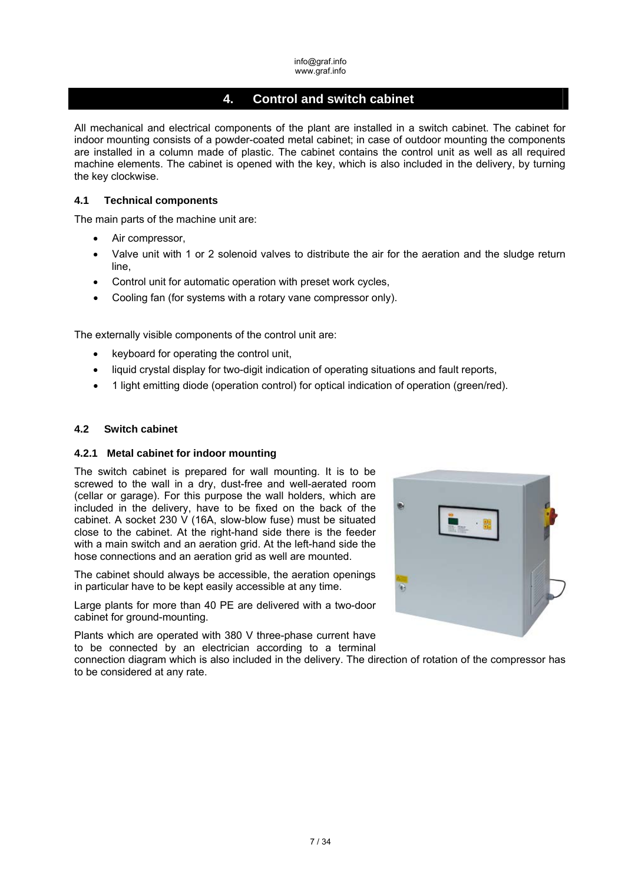# **4. Control and switch cabinet**

All mechanical and electrical components of the plant are installed in a switch cabinet. The cabinet for indoor mounting consists of a powder-coated metal cabinet; in case of outdoor mounting the components are installed in a column made of plastic. The cabinet contains the control unit as well as all required machine elements. The cabinet is opened with the key, which is also included in the delivery, by turning the key clockwise.

## **4.1 Technical components**

The main parts of the machine unit are:

- Air compressor.
- Valve unit with 1 or 2 solenoid valves to distribute the air for the aeration and the sludge return line,
- Control unit for automatic operation with preset work cycles,
- Cooling fan (for systems with a rotary vane compressor only).

The externally visible components of the control unit are:

- keyboard for operating the control unit,
- liquid crystal display for two-digit indication of operating situations and fault reports,
- 1 light emitting diode (operation control) for optical indication of operation (green/red).

## **4.2 Switch cabinet**

## **4.2.1 Metal cabinet for indoor mounting**

The switch cabinet is prepared for wall mounting. It is to be screwed to the wall in a dry, dust-free and well-aerated room (cellar or garage). For this purpose the wall holders, which are included in the delivery, have to be fixed on the back of the cabinet. A socket 230 V (16A, slow-blow fuse) must be situated close to the cabinet. At the right-hand side there is the feeder with a main switch and an aeration grid. At the left-hand side the hose connections and an aeration grid as well are mounted.

The cabinet should always be accessible, the aeration openings in particular have to be kept easily accessible at any time.

Large plants for more than 40 PE are delivered with a two-door cabinet for ground-mounting.

Plants which are operated with 380 V three-phase current have to be connected by an electrician according to a terminal



connection diagram which is also included in the delivery. The direction of rotation of the compressor has to be considered at any rate.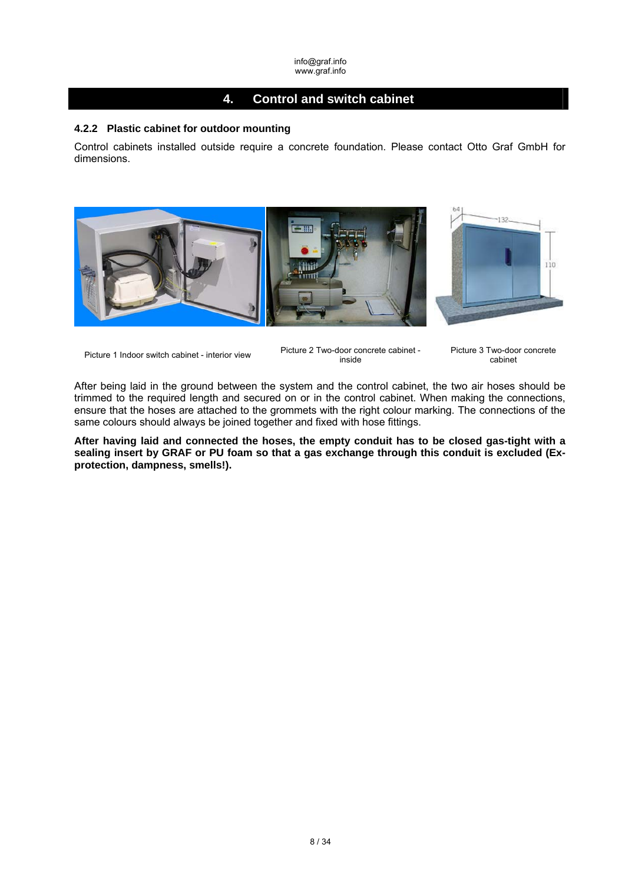# **4. Control and switch cabinet**

## **4.2.2 Plastic cabinet for outdoor mounting**

Control cabinets installed outside require a concrete foundation. Please contact Otto Graf GmbH for dimensions.



Picture 1 Indoor switch cabinet - interior view Picture 2 Two-door concrete cabinet inside

Picture 3 Two-door concrete cabinet

After being laid in the ground between the system and the control cabinet, the two air hoses should be trimmed to the required length and secured on or in the control cabinet. When making the connections, ensure that the hoses are attached to the grommets with the right colour marking. The connections of the same colours should always be joined together and fixed with hose fittings.

**After having laid and connected the hoses, the empty conduit has to be closed gas-tight with a sealing insert by GRAF or PU foam so that a gas exchange through this conduit is excluded (Exprotection, dampness, smells!).**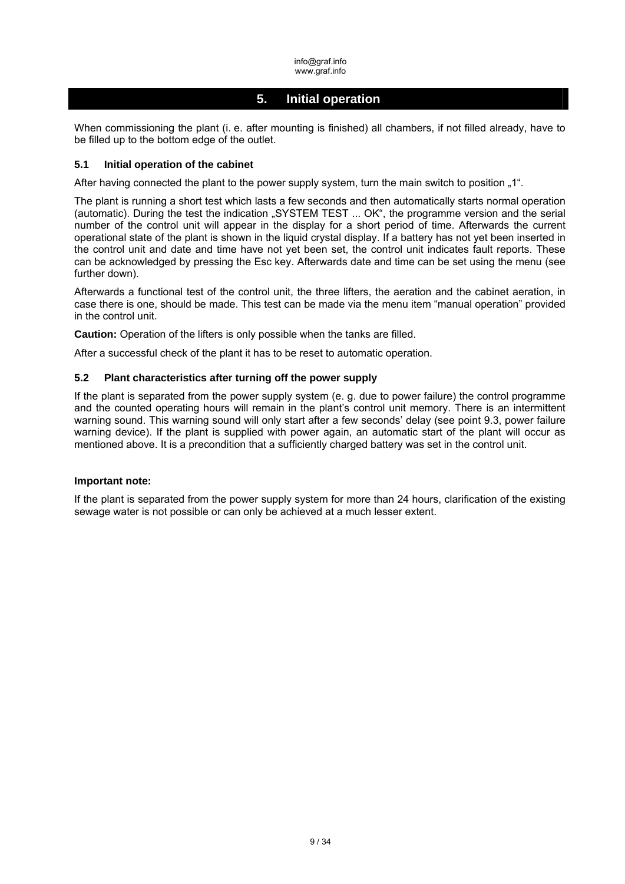# **5. Initial operation**

When commissioning the plant (i. e. after mounting is finished) all chambers, if not filled already, have to be filled up to the bottom edge of the outlet.

#### **5.1 Initial operation of the cabinet**

After having connected the plant to the power supply system, turn the main switch to position "1".

The plant is running a short test which lasts a few seconds and then automatically starts normal operation (automatic). During the test the indication "SYSTEM TEST ... OK", the programme version and the serial number of the control unit will appear in the display for a short period of time. Afterwards the current operational state of the plant is shown in the liquid crystal display. If a battery has not yet been inserted in the control unit and date and time have not yet been set, the control unit indicates fault reports. These can be acknowledged by pressing the Esc key. Afterwards date and time can be set using the menu (see further down).

Afterwards a functional test of the control unit, the three lifters, the aeration and the cabinet aeration, in case there is one, should be made. This test can be made via the menu item "manual operation" provided in the control unit.

**Caution:** Operation of the lifters is only possible when the tanks are filled.

After a successful check of the plant it has to be reset to automatic operation.

## **5.2 Plant characteristics after turning off the power supply**

If the plant is separated from the power supply system (e. g. due to power failure) the control programme and the counted operating hours will remain in the plant's control unit memory. There is an intermittent warning sound. This warning sound will only start after a few seconds' delay (see point 9.3, power failure warning device). If the plant is supplied with power again, an automatic start of the plant will occur as mentioned above. It is a precondition that a sufficiently charged battery was set in the control unit.

#### **Important note:**

If the plant is separated from the power supply system for more than 24 hours, clarification of the existing sewage water is not possible or can only be achieved at a much lesser extent.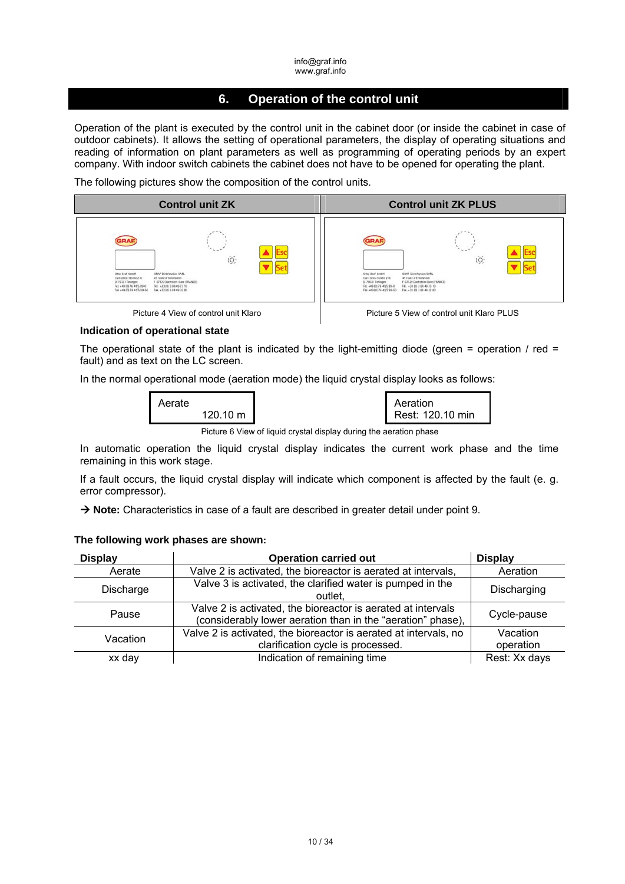# **6. Operation of the control unit**

Operation of the plant is executed by the control unit in the cabinet door (or inside the cabinet in case of outdoor cabinets). It allows the setting of operational parameters, the display of operating situations and reading of information on plant parameters as well as programming of operating periods by an expert company. With indoor switch cabinets the cabinet does not have to be opened for operating the plant.

The following pictures show the composition of the control units.





#### **Indication of operational state**

The operational state of the plant is indicated by the light-emitting diode (green = operation / red = fault) and as text on the LC screen.

In the normal operational mode (aeration mode) the liquid crystal display looks as follows:



| Aeration         |  |
|------------------|--|
| Rest: 120.10 min |  |

Picture 6 View of liquid crystal display during the aeration phase

In automatic operation the liquid crystal display indicates the current work phase and the time remaining in this work stage.

If a fault occurs, the liquid crystal display will indicate which component is affected by the fault (e. g. error compressor).

→ Note: Characteristics in case of a fault are described in greater detail under point 9.

| <b>Display</b> | <b>Operation carried out</b>                                                                                                | <b>Display</b>        |
|----------------|-----------------------------------------------------------------------------------------------------------------------------|-----------------------|
| Aerate         | Valve 2 is activated, the bioreactor is aerated at intervals,                                                               | Aeration              |
| Discharge      | Valve 3 is activated, the clarified water is pumped in the<br>outlet.                                                       | Discharging           |
| Pause          | Valve 2 is activated, the bioreactor is aerated at intervals<br>(considerably lower aeration than in the "aeration" phase), | Cycle-pause           |
| Vacation       | Valve 2 is activated, the bioreactor is aerated at intervals, no<br>clarification cycle is processed.                       | Vacation<br>operation |
| xx day         | Indication of remaining time                                                                                                | Rest: Xx days         |

#### **The following work phases are shown:**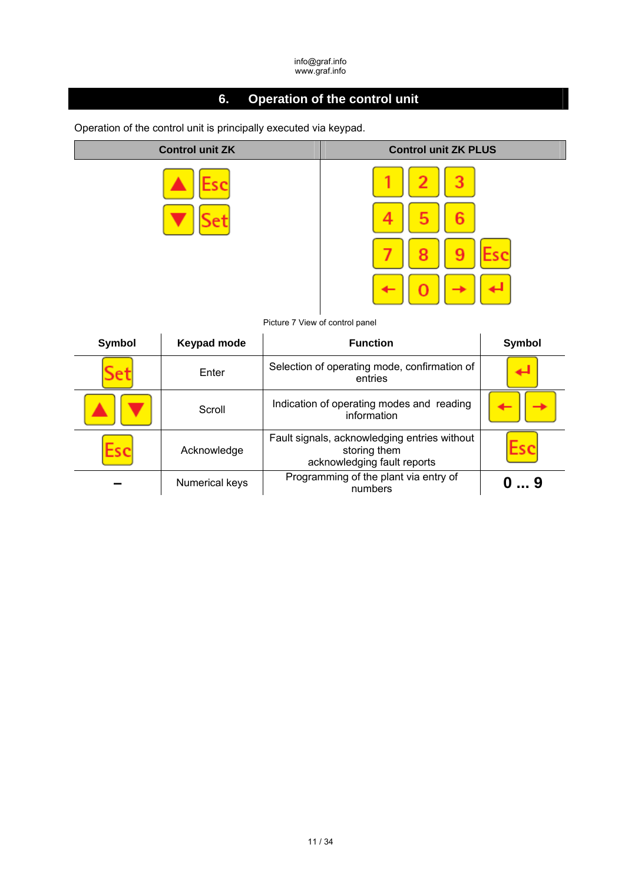# **6. Operation of the control unit**

Operation of the control unit is principally executed via keypad.





Picture 7 View of control panel

| Symbol | Keypad mode    | <b>Function</b>                                                                             | <b>Symbol</b> |
|--------|----------------|---------------------------------------------------------------------------------------------|---------------|
|        | Enter          | Selection of operating mode, confirmation of<br>entries                                     |               |
|        | Scroll         | Indication of operating modes and reading<br>information                                    |               |
|        | Acknowledge    | Fault signals, acknowledging entries without<br>storing them<br>acknowledging fault reports |               |
|        | Numerical keys | Programming of the plant via entry of<br>numbers                                            | 9             |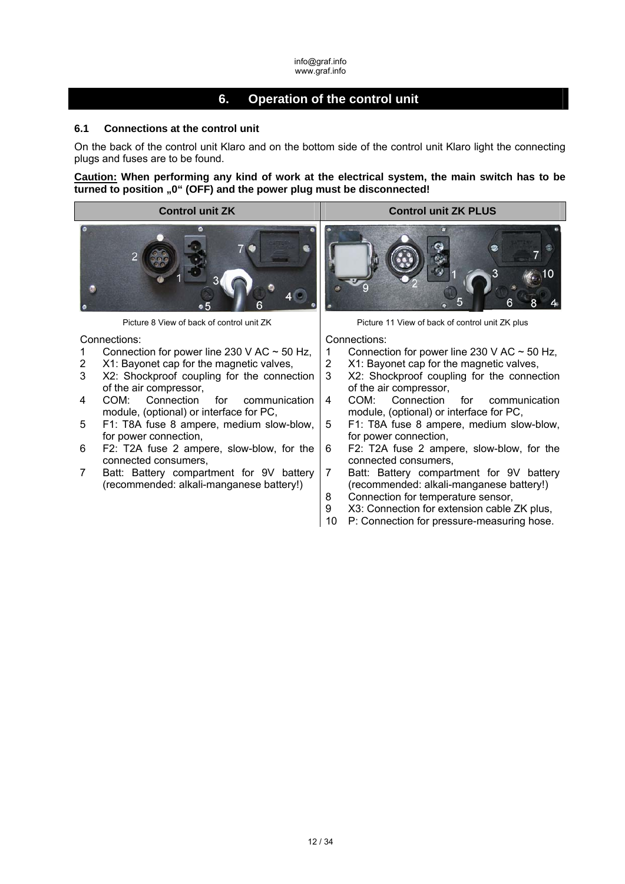# **6. Operation of the control unit**

## **6.1 Connections at the control unit**

On the back of the control unit Klaro and on the bottom side of the control unit Klaro light the connecting plugs and fuses are to be found.

**Caution: When performing any kind of work at the electrical system, the main switch has to be**  turned to position "0" (OFF) and the power plug must be disconnected!



Connections:

- 1 Connection for power line 230 V AC  $\sim$  50 Hz,
- 2 X1: Bayonet cap for the magnetic valves,
- 3 X2: Shockproof coupling for the connection of the air compressor,
- 4 COM: Connection for communication module, (optional) or interface for PC,
- 5 F1: T8A fuse 8 ampere, medium slow-blow, for power connection,
- 6 F2: T2A fuse 2 ampere, slow-blow, for the connected consumers,
- 7 Batt: Battery compartment for 9V battery (recommended: alkali-manganese battery!)

Picture 8 View of back of control unit ZK Picture 11 View of back of control unit ZK plus

Connections:

- 
- 1 Connection for power line 230 V AC  $\sim$  50 Hz,<br>2 X1: Bavonet cap for the magnetic valves. 2 X1: Bayonet cap for the magnetic valves,
- 3 X2: Shockproof coupling for the connection of the air compressor,
- 4 COM: Connection for communication module, (optional) or interface for PC,
- 5 F1: T8A fuse 8 ampere, medium slow-blow, for power connection,
- 6 F2: T2A fuse 2 ampere, slow-blow, for the connected consumers,
- 7 Batt: Battery compartment for 9V battery (recommended: alkali-manganese battery!)
- 8 Connection for temperature sensor,
- 9 X3: Connection for extension cable ZK plus,
- 10 P: Connection for pressure-measuring hose.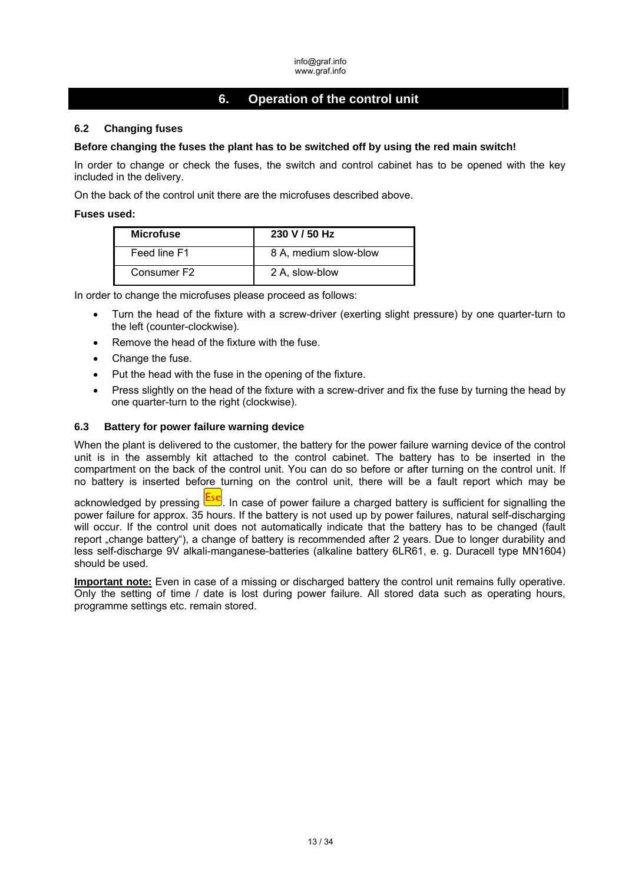# **6. Operation of the control unit**

## **6.2 Changing fuses**

## **Before changing the fuses the plant has to be switched off by using the red main switch!**

In order to change or check the fuses, the switch and control cabinet has to be opened with the key included in the delivery.

On the back of the control unit there are the microfuses described above.

#### **Fuses used:**

| <b>Microfuse</b>        | 230 V / 50 Hz         |
|-------------------------|-----------------------|
| Feed line F1            | 8 A, medium slow-blow |
| Consumer F <sub>2</sub> | 2 A, slow-blow        |

In order to change the microfuses please proceed as follows:

- Turn the head of the fixture with a screw-driver (exerting slight pressure) by one quarter-turn to the left (counter-clockwise).
- Remove the head of the fixture with the fuse.
- Change the fuse.
- Put the head with the fuse in the opening of the fixture.
- Press slightly on the head of the fixture with a screw-driver and fix the fuse by turning the head by one quarter-turn to the right (clockwise).

## **6.3 Battery for power failure warning device**

When the plant is delivered to the customer, the battery for the power failure warning device of the control unit is in the assembly kit attached to the control cabinet. The battery has to be inserted in the compartment on the back of the control unit. You can do so before or after turning on the control unit. If no battery is inserted before turning on the control unit, there will be a fault report which may be

acknowledged by pressing **Esc**. In case of power failure a charged battery is sufficient for signalling the power failure for approx. 35 hours. If the battery is not used up by power failures, natural self-discharging will occur. If the control unit does not automatically indicate that the battery has to be changed (fault report "change battery"), a change of battery is recommended after 2 years. Due to longer durability and less self-discharge 9V alkali-manganese-batteries (alkaline battery 6LR61, e. g. Duracell type MN1604) should be used.

**Important note:** Even in case of a missing or discharged battery the control unit remains fully operative. Only the setting of time / date is lost during power failure. All stored data such as operating hours, programme settings etc. remain stored.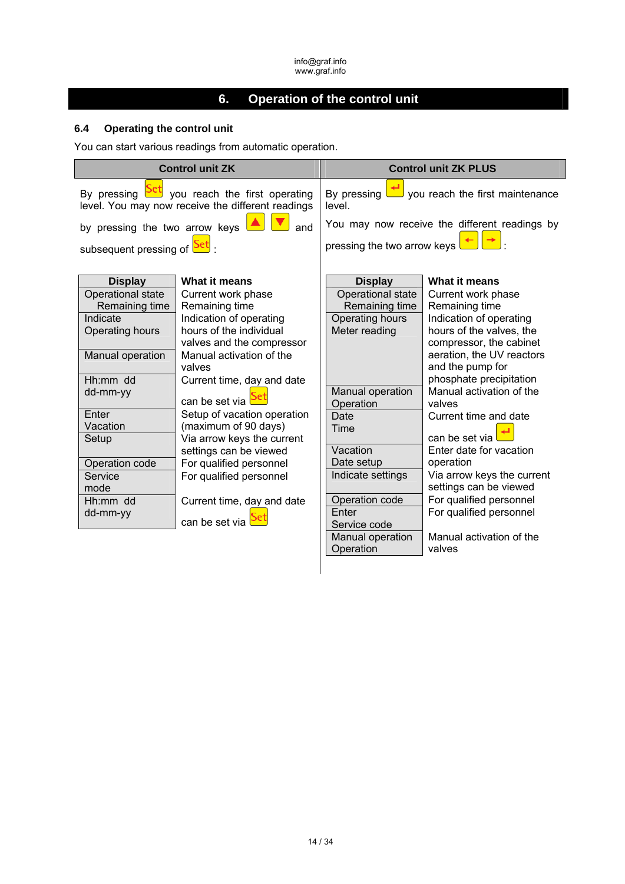# **6. Operation of the control unit**

# **6.4 Operating the control unit**

You can start various readings from automatic operation.

|                                                                                                                                                                                                                 | <b>Control unit ZK</b>                                                                                                                                                                                                                                                                                                                                                                              | <b>Control unit ZK PLUS</b>                                                                                                                                                                                 |                                                                                                                                                                                                                                                                                                                                                                                                                                 |  |  |
|-----------------------------------------------------------------------------------------------------------------------------------------------------------------------------------------------------------------|-----------------------------------------------------------------------------------------------------------------------------------------------------------------------------------------------------------------------------------------------------------------------------------------------------------------------------------------------------------------------------------------------------|-------------------------------------------------------------------------------------------------------------------------------------------------------------------------------------------------------------|---------------------------------------------------------------------------------------------------------------------------------------------------------------------------------------------------------------------------------------------------------------------------------------------------------------------------------------------------------------------------------------------------------------------------------|--|--|
|                                                                                                                                                                                                                 | By pressing <b>Det</b> you reach the first operating<br>level. You may now receive the different readings                                                                                                                                                                                                                                                                                           | you reach the first maintenance<br>By pressing<br>level.                                                                                                                                                    |                                                                                                                                                                                                                                                                                                                                                                                                                                 |  |  |
| by pressing the two arrow keys<br>subsequent pressing of                                                                                                                                                        | and                                                                                                                                                                                                                                                                                                                                                                                                 | You may now receive the different readings by<br>pressing the two arrow keys I                                                                                                                              |                                                                                                                                                                                                                                                                                                                                                                                                                                 |  |  |
| <b>Display</b><br>Operational state<br>Remaining time<br>Indicate<br>Operating hours<br>Manual operation<br>Hh:mm dd<br>dd-mm-yy<br>Enter<br>Vacation<br>Setup<br>Operation code<br>Service<br>mode<br>Hh:mm dd | What it means<br>Current work phase<br>Remaining time<br>Indication of operating<br>hours of the individual<br>valves and the compressor<br>Manual activation of the<br>valves<br>Current time, day and date<br>can be set via<br>Setup of vacation operation<br>(maximum of 90 days)<br>Via arrow keys the current<br>settings can be viewed<br>For qualified personnel<br>For qualified personnel | <b>Display</b><br>Operational state<br>Remaining time<br>Operating hours<br>Meter reading<br>Manual operation<br>Operation<br>Date<br>Time<br>Vacation<br>Date setup<br>Indicate settings<br>Operation code | What it means<br>Current work phase<br>Remaining time<br>Indication of operating<br>hours of the valves, the<br>compressor, the cabinet<br>aeration, the UV reactors<br>and the pump for<br>phosphate precipitation<br>Manual activation of the<br>valves<br>Current time and date<br>can be set via<br>Enter date for vacation<br>operation<br>Via arrow keys the current<br>settings can be viewed<br>For qualified personnel |  |  |
| dd-mm-yy                                                                                                                                                                                                        | Current time, day and date<br>can be set via                                                                                                                                                                                                                                                                                                                                                        | Enter<br>Service code<br>Manual operation<br>Operation                                                                                                                                                      | For qualified personnel<br>Manual activation of the<br>valves                                                                                                                                                                                                                                                                                                                                                                   |  |  |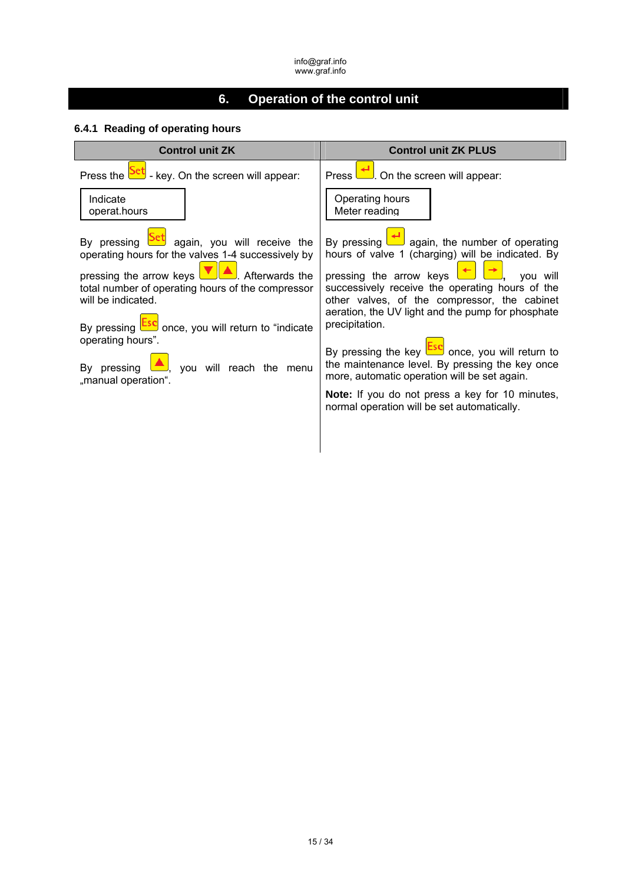# **6. Operation of the control unit**

# **6.4.1 Reading of operating hours**

| <b>Control unit ZK</b>                                                                                                                                                                                                                                                                                                                                                                             | <b>Control unit ZK PLUS</b>                                                                                                                                                                                                                                                                                                                                                                                                                                                                                                                                                                                                                        |
|----------------------------------------------------------------------------------------------------------------------------------------------------------------------------------------------------------------------------------------------------------------------------------------------------------------------------------------------------------------------------------------------------|----------------------------------------------------------------------------------------------------------------------------------------------------------------------------------------------------------------------------------------------------------------------------------------------------------------------------------------------------------------------------------------------------------------------------------------------------------------------------------------------------------------------------------------------------------------------------------------------------------------------------------------------------|
| Press the <b>Set</b> - key. On the screen will appear:                                                                                                                                                                                                                                                                                                                                             | $\left  \bigoplus \right $ On the screen will appear:<br>Press l                                                                                                                                                                                                                                                                                                                                                                                                                                                                                                                                                                                   |
| Indicate<br>operat.hours                                                                                                                                                                                                                                                                                                                                                                           | Operating hours<br>Meter reading                                                                                                                                                                                                                                                                                                                                                                                                                                                                                                                                                                                                                   |
| By pressing <b>Set</b> again, you will receive the<br>operating hours for the valves 1-4 successively by<br>pressing the arrow keys $\Box$ Afterwards the<br>total number of operating hours of the compressor<br>will be indicated.<br>By pressing <b>Esc</b> once, you will return to "indicate<br>operating hours".<br>By pressing $\triangle$ , you will reach the menu<br>"manual operation". | By pressing $\left  \bigoplus$ again, the number of operating<br>hours of valve 1 (charging) will be indicated. By<br>pressing the arrow keys $\begin{array}{ c c c c c }\n\hline\n\end{array}$ you will<br>successively receive the operating hours of the<br>other valves, of the compressor, the cabinet<br>aeration, the UV light and the pump for phosphate<br>precipitation.<br>By pressing the key <b>Esc</b> once, you will return to<br>the maintenance level. By pressing the key once<br>more, automatic operation will be set again.<br>Note: If you do not press a key for 10 minutes,<br>normal operation will be set automatically. |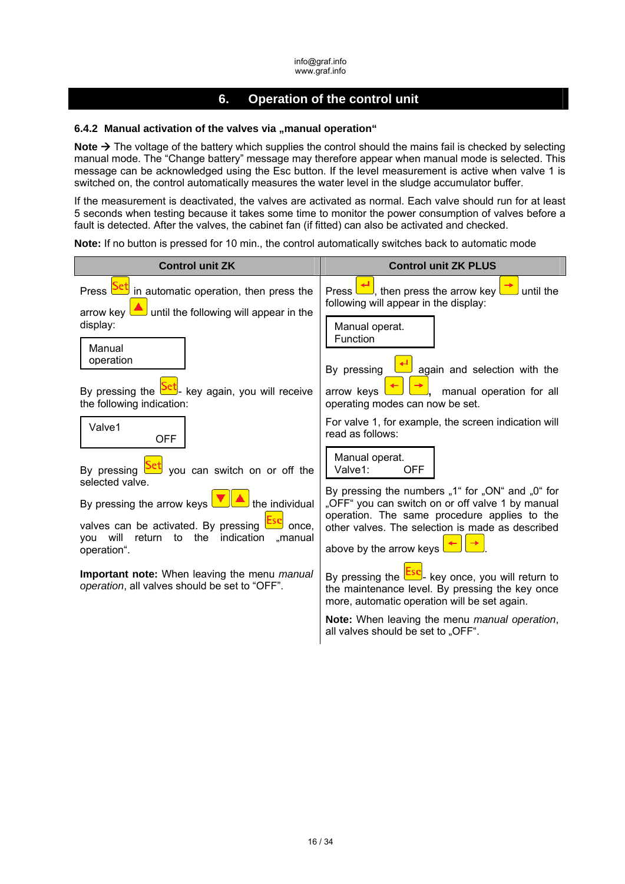# **6. Operation of the control unit**

### 6.4.2 Manual activation of the valves via "manual operation"

**Note →** The voltage of the battery which supplies the control should the mains fail is checked by selecting manual mode. The "Change battery" message may therefore appear when manual mode is selected. This message can be acknowledged using the Esc button. If the level measurement is active when valve 1 is switched on, the control automatically measures the water level in the sludge accumulator buffer.

If the measurement is deactivated, the valves are activated as normal. Each valve should run for at least 5 seconds when testing because it takes some time to monitor the power consumption of valves before a fault is detected. After the valves, the cabinet fan (if fitted) can also be activated and checked.

**Note:** If no button is pressed for 10 min., the control automatically switches back to automatic mode

| <b>Control unit ZK</b>                                                                                                      | <b>Control unit ZK PLUS</b>                                                                                                                                  |
|-----------------------------------------------------------------------------------------------------------------------------|--------------------------------------------------------------------------------------------------------------------------------------------------------------|
| Press PEU in automatic operation, then press the<br>$\Box$ until the following will appear in the<br>arrow kev l            | Press $\Box$ , then press the arrow key<br>until the<br>following will appear in the display:                                                                |
| display:<br>Manual                                                                                                          | Manual operat.<br><b>Function</b>                                                                                                                            |
| operation                                                                                                                   | again and selection with the<br>By pressing                                                                                                                  |
| By pressing the <b>PEL</b> key again, you will receive<br>the following indication:                                         | manual operation for all<br>arrow keys<br>operating modes can now be set.                                                                                    |
| Valve1<br><b>OFF</b>                                                                                                        | For valve 1, for example, the screen indication will<br>read as follows:                                                                                     |
| you can switch on or off the<br>By pressing<br>selected valve.                                                              | Manual operat.<br>Valve1:<br><b>OFF</b>                                                                                                                      |
| By pressing the arrow keys $\Box$<br>$\blacksquare$ the individual                                                          | By pressing the numbers "1" for "ON" and "0" for<br>"OFF" you can switch on or off valve 1 by manual<br>operation. The same procedure applies to the         |
| valves can be activated. By pressing<br>once,<br>the<br>indication<br>return<br>to<br>.manual<br>will<br>vou<br>operation". | other valves. The selection is made as described<br>above by the arrow keys                                                                                  |
| <b>Important note:</b> When leaving the menu manual<br>operation, all valves should be set to "OFF".                        | By pressing the <b>ESC</b> - key once, you will return to<br>the maintenance level. By pressing the key once<br>more, automatic operation will be set again. |
|                                                                                                                             | <b>Note:</b> When leaving the menu <i>manual operation</i> ,<br>all valves should be set to "OFF".                                                           |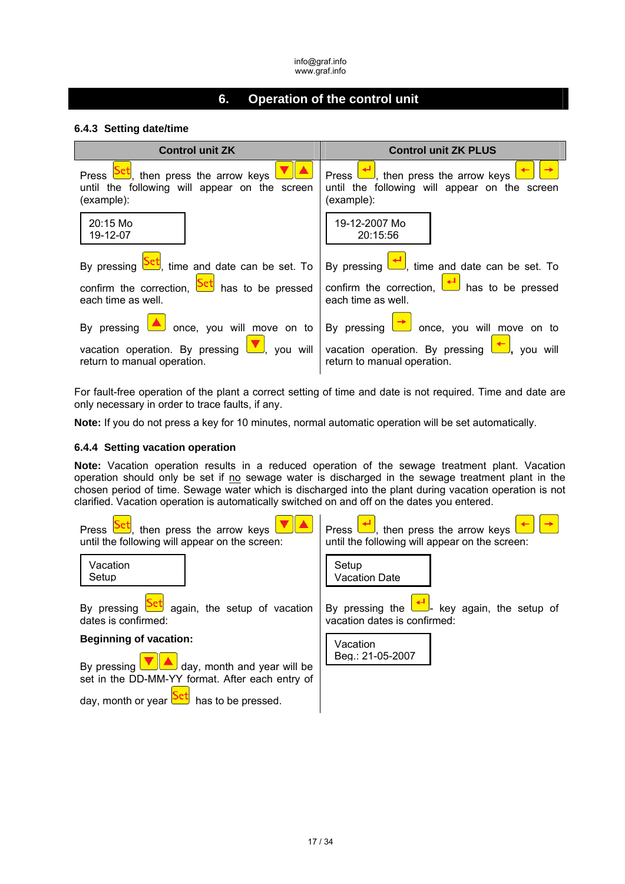# **6. Operation of the control unit**

## **6.4.3 Setting date/time**

| <b>Control unit ZK</b>                                                                                                                                 | <b>Control unit ZK PLUS</b>                                                                                                                              |
|--------------------------------------------------------------------------------------------------------------------------------------------------------|----------------------------------------------------------------------------------------------------------------------------------------------------------|
| Press $\frac{\text{Set}}{\ }$ , then press the arrow keys $\Box$<br>until the following will appear on the screen<br>(example):                        | Press $\boxed{\phantom{0}1}$ , then press the arrow keys $\boxed{0}$<br>until the following will appear on the screen<br>(example):                      |
| 20:15 Mo<br>19-12-07                                                                                                                                   | 19-12-2007 Mo<br>20:15:56                                                                                                                                |
| By pressing <b>Set</b> , time and date can be set. To                                                                                                  | By pressing $\leftarrow$ , time and date can be set. To                                                                                                  |
| confirm the correction, $\frac{\text{Set}}{\text{hat}}$ has to be pressed confirm the correction, $\leftarrow$ has to be pressed<br>each time as well. | each time as well.                                                                                                                                       |
| By pressing $\triangle$ once, you will move on to By pressing $\rightarrow$ once, you will move on to                                                  |                                                                                                                                                          |
| return to manual operation.                                                                                                                            | vacation operation. By pressing $\boxed{\bullet}$ , you will vacation operation. By pressing $\boxed{\bullet}$ , you will<br>return to manual operation. |

For fault-free operation of the plant a correct setting of time and date is not required. Time and date are only necessary in order to trace faults, if any.

**Note:** If you do not press a key for 10 minutes, normal automatic operation will be set automatically.

## **6.4.4 Setting vacation operation**

**Note:** Vacation operation results in a reduced operation of the sewage treatment plant. Vacation operation should only be set if no sewage water is discharged in the sewage treatment plant in the chosen period of time. Sewage water which is discharged into the plant during vacation operation is not clarified. Vacation operation is automatically switched on and off on the dates you entered.



day, month or year  $\frac{\text{Set}}{\text{hat}}$  has to be pressed.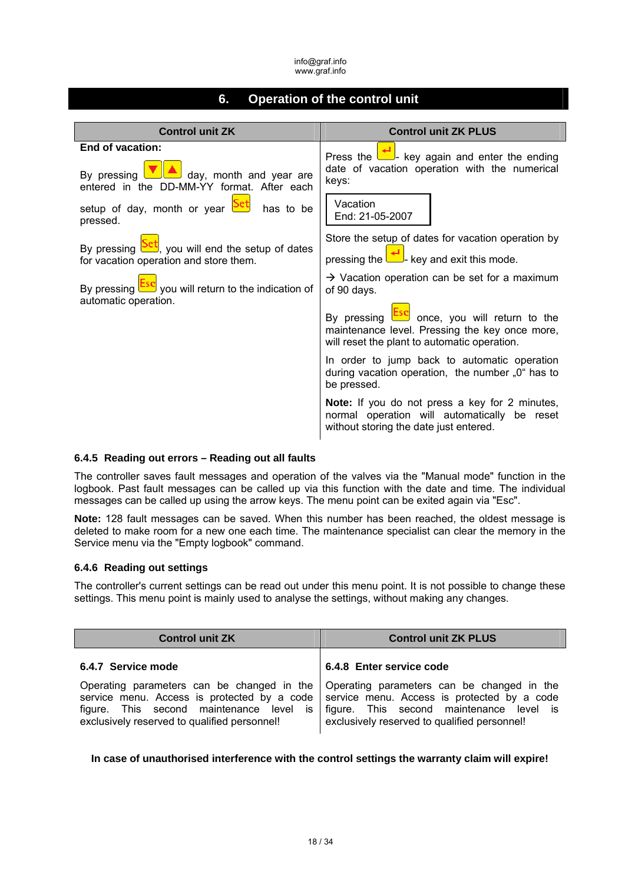# **6. Operation of the control unit**

| <b>Control unit ZK</b>                                                          | <b>Control unit ZK PLUS</b>                                                                                                                           |
|---------------------------------------------------------------------------------|-------------------------------------------------------------------------------------------------------------------------------------------------------|
| End of vacation:                                                                | Press the $\begin{array}{ c c c c c }\n\hline\n\end{array}$ key again and enter the ending                                                            |
| By pressing $\Box$ day, month and year are                                      | date of vacation operation with the numerical                                                                                                         |
| entered in the DD-MM-YY format. After each                                      | keys:                                                                                                                                                 |
| setup of day, month or year <b>Set</b> has to be                                | Vacation                                                                                                                                              |
| pressed.                                                                        | End: 21-05-2007                                                                                                                                       |
| By pressing $\frac{\mathsf{Set}}{\mathsf{y}}$ , you will end the setup of dates | Store the setup of dates for vacation operation by                                                                                                    |
| for vacation operation and store them.                                          | pressing the $\left\lfloor \frac{+1}{-} \right\rfloor$ key and exit this mode.                                                                        |
| By pressing <b>Esc</b> you will return to the indication of                     | $\rightarrow$ Vacation operation can be set for a maximum                                                                                             |
| automatic operation.                                                            | of 90 days.                                                                                                                                           |
|                                                                                 | By pressing <b>Esc</b> once, you will return to the<br>maintenance level. Pressing the key once more,<br>will reset the plant to automatic operation. |
|                                                                                 | In order to jump back to automatic operation<br>during vacation operation, the number "0" has to<br>be pressed.                                       |
|                                                                                 | <b>Note:</b> If you do not press a key for 2 minutes,<br>normal operation will automatically be reset<br>without storing the date just entered.       |

## **6.4.5 Reading out errors – Reading out all faults**

The controller saves fault messages and operation of the valves via the "Manual mode" function in the logbook. Past fault messages can be called up via this function with the date and time. The individual messages can be called up using the arrow keys. The menu point can be exited again via "Esc".

**Note:** 128 fault messages can be saved. When this number has been reached, the oldest message is deleted to make room for a new one each time. The maintenance specialist can clear the memory in the Service menu via the "Empty logbook" command.

#### **6.4.6 Reading out settings**

The controller's current settings can be read out under this menu point. It is not possible to change these settings. This menu point is mainly used to analyse the settings, without making any changes.

| <b>Control unit ZK</b>                                                                   | <b>Control unit ZK PLUS</b>                                                                                                                                                                                                                                                    |  |  |  |  |
|------------------------------------------------------------------------------------------|--------------------------------------------------------------------------------------------------------------------------------------------------------------------------------------------------------------------------------------------------------------------------------|--|--|--|--|
| 6.4.7 Service mode                                                                       | 6.4.8 Enter service code                                                                                                                                                                                                                                                       |  |  |  |  |
| figure. This second maintenance level is<br>exclusively reserved to qualified personnel! | Operating parameters can be changed in the   Operating parameters can be changed in the<br>service menu. Access is protected by a code service menu. Access is protected by a code<br>figure. This second maintenance level is<br>exclusively reserved to qualified personnel! |  |  |  |  |

#### **In case of unauthorised interference with the control settings the warranty claim will expire!**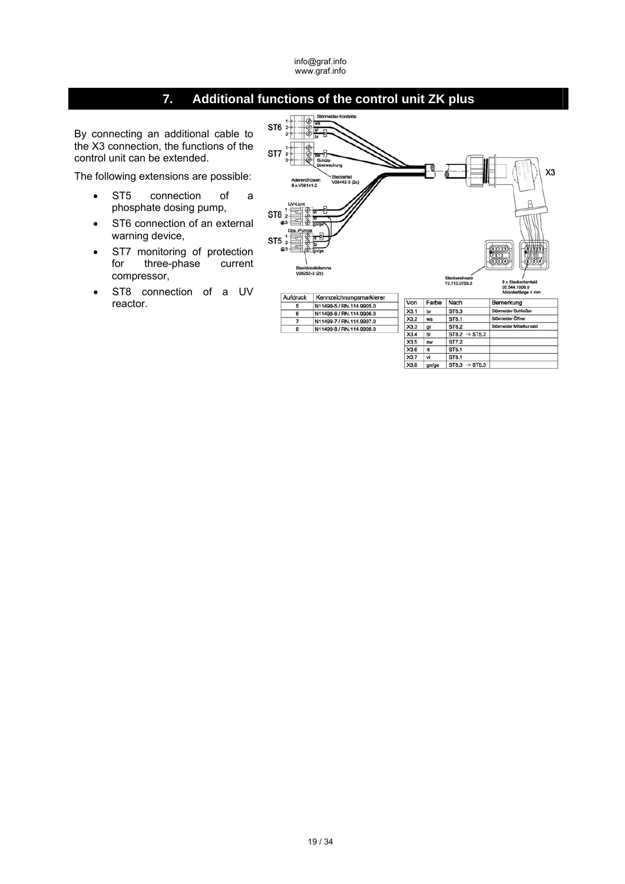# **7. Additional functions of the control unit ZK plus**

5  $\overline{\phantom{a}}$ 

7

 $\overline{\mathbf{g}}$ 

By connecting an additional cable to the X3 connection, the functions of the control unit can be extended.

The following extensions are possible:

- ST5 connection of a phosphate dosing pump,
- ST6 connection of an external warning device,
- ST7 monitoring of protection for three-phase current compressor,
- ST8 connection of a UV reactor.



| Kennzeichnungsmarkierer  |      |           |                           |                          |
|--------------------------|------|-----------|---------------------------|--------------------------|
| N11499-5 / RN.114.9905.0 | Von  | Farbe     | Nach                      | Bemerkung                |
|                          | X3.1 | br        | ST6.3                     | Störmelder Schließer     |
| N11499-6 / RN.114.9906.0 | X3.2 | <b>ws</b> | ST6.1                     | Störmelder Öffner        |
| N11499-7 / RN.114.9907.0 | X3.3 |           | ST6.2                     | Störmelder Mittelkontakt |
| N11499-8 / RN.114.9908.0 |      | gr        |                           |                          |
|                          | X3.4 | ы         | $ST8.2 \rightarrow ST5.2$ |                          |
|                          | X3.5 | SW        | ST7.2                     |                          |
|                          | X3.6 | rt        | ST5.1                     |                          |
|                          | X3.7 | vi        | ST8.1                     |                          |
|                          | X3.8 | gn/ge     | $ST8.3 \rightarrow ST5.3$ |                          |
|                          |      |           |                           |                          |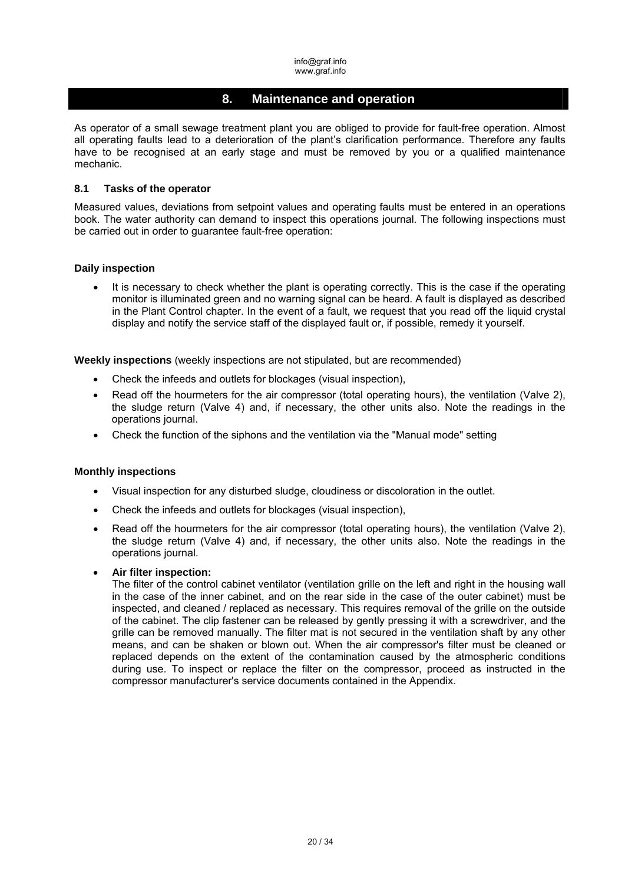# **8. Maintenance and operation**

As operator of a small sewage treatment plant you are obliged to provide for fault-free operation. Almost all operating faults lead to a deterioration of the plant's clarification performance. Therefore any faults have to be recognised at an early stage and must be removed by you or a qualified maintenance mechanic.

### **8.1 Tasks of the operator**

Measured values, deviations from setpoint values and operating faults must be entered in an operations book. The water authority can demand to inspect this operations journal. The following inspections must be carried out in order to guarantee fault-free operation:

#### **Daily inspection**

It is necessary to check whether the plant is operating correctly. This is the case if the operating monitor is illuminated green and no warning signal can be heard. A fault is displayed as described in the Plant Control chapter. In the event of a fault, we request that you read off the liquid crystal display and notify the service staff of the displayed fault or, if possible, remedy it yourself.

**Weekly inspections** (weekly inspections are not stipulated, but are recommended)

- Check the infeeds and outlets for blockages (visual inspection),
- Read off the hourmeters for the air compressor (total operating hours), the ventilation (Valve 2), the sludge return (Valve 4) and, if necessary, the other units also. Note the readings in the operations journal.
- Check the function of the siphons and the ventilation via the "Manual mode" setting

#### **Monthly inspections**

- Visual inspection for any disturbed sludge, cloudiness or discoloration in the outlet.
- Check the infeeds and outlets for blockages (visual inspection),
- Read off the hourmeters for the air compressor (total operating hours), the ventilation (Valve 2), the sludge return (Valve 4) and, if necessary, the other units also. Note the readings in the operations journal.
- **Air filter inspection:**

The filter of the control cabinet ventilator (ventilation grille on the left and right in the housing wall in the case of the inner cabinet, and on the rear side in the case of the outer cabinet) must be inspected, and cleaned / replaced as necessary. This requires removal of the grille on the outside of the cabinet. The clip fastener can be released by gently pressing it with a screwdriver, and the grille can be removed manually. The filter mat is not secured in the ventilation shaft by any other means, and can be shaken or blown out. When the air compressor's filter must be cleaned or replaced depends on the extent of the contamination caused by the atmospheric conditions during use. To inspect or replace the filter on the compressor, proceed as instructed in the compressor manufacturer's service documents contained in the Appendix.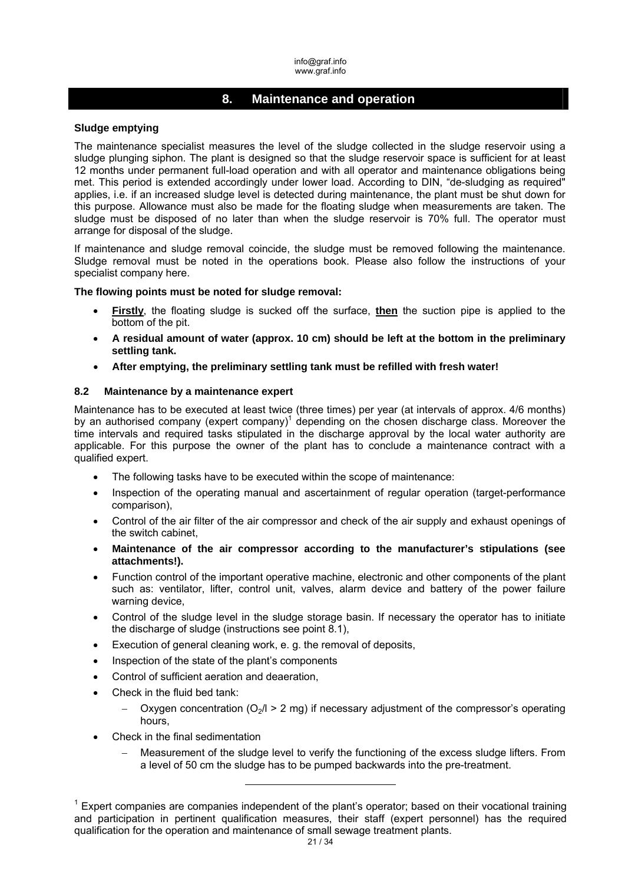# **8. Maintenance and operation**

#### **Sludge emptying**

The maintenance specialist measures the level of the sludge collected in the sludge reservoir using a sludge plunging siphon. The plant is designed so that the sludge reservoir space is sufficient for at least 12 months under permanent full-load operation and with all operator and maintenance obligations being met. This period is extended accordingly under lower load. According to DIN, "de-sludging as required" applies, i.e. if an increased sludge level is detected during maintenance, the plant must be shut down for this purpose. Allowance must also be made for the floating sludge when measurements are taken. The sludge must be disposed of no later than when the sludge reservoir is 70% full. The operator must arrange for disposal of the sludge.

If maintenance and sludge removal coincide, the sludge must be removed following the maintenance. Sludge removal must be noted in the operations book. Please also follow the instructions of your specialist company here.

**The flowing points must be noted for sludge removal:** 

- **Firstly**, the floating sludge is sucked off the surface, **then** the suction pipe is applied to the bottom of the pit.
- **A residual amount of water (approx. 10 cm) should be left at the bottom in the preliminary settling tank.**
- **After emptying, the preliminary settling tank must be refilled with fresh water!**

#### **8.2 Maintenance by a maintenance expert**

Maintenance has to be executed at least twice (three times) per year (at intervals of approx. 4/6 months) by an authorised company (expert company) $1$  depending on the chosen discharge class. Moreover the time intervals and required tasks stipulated in the discharge approval by the local water authority are applicable. For this purpose the owner of the plant has to conclude a maintenance contract with a qualified expert.

- The following tasks have to be executed within the scope of maintenance:
- Inspection of the operating manual and ascertainment of regular operation (target-performance comparison),
- Control of the air filter of the air compressor and check of the air supply and exhaust openings of the switch cabinet,
- **Maintenance of the air compressor according to the manufacturer's stipulations (see attachments!).**
- Function control of the important operative machine, electronic and other components of the plant such as: ventilator, lifter, control unit, valves, alarm device and battery of the power failure warning device,
- Control of the sludge level in the sludge storage basin. If necessary the operator has to initiate the discharge of sludge (instructions see point 8.1),
- Execution of general cleaning work, e. g. the removal of deposits,

-

- Inspection of the state of the plant's components
- Control of sufficient aeration and deaeration,
- Check in the fluid bed tank:
	- Oxygen concentration  $\left(\frac{O_2}{l}\right)$  > 2 mg) if necessary adjustment of the compressor's operating hours,
- Check in the final sedimentation
	- Measurement of the sludge level to verify the functioning of the excess sludge lifters. From a level of 50 cm the sludge has to be pumped backwards into the pre-treatment.

 $1$  Expert companies are companies independent of the plant's operator; based on their vocational training and participation in pertinent qualification measures, their staff (expert personnel) has the required qualification for the operation and maintenance of small sewage treatment plants.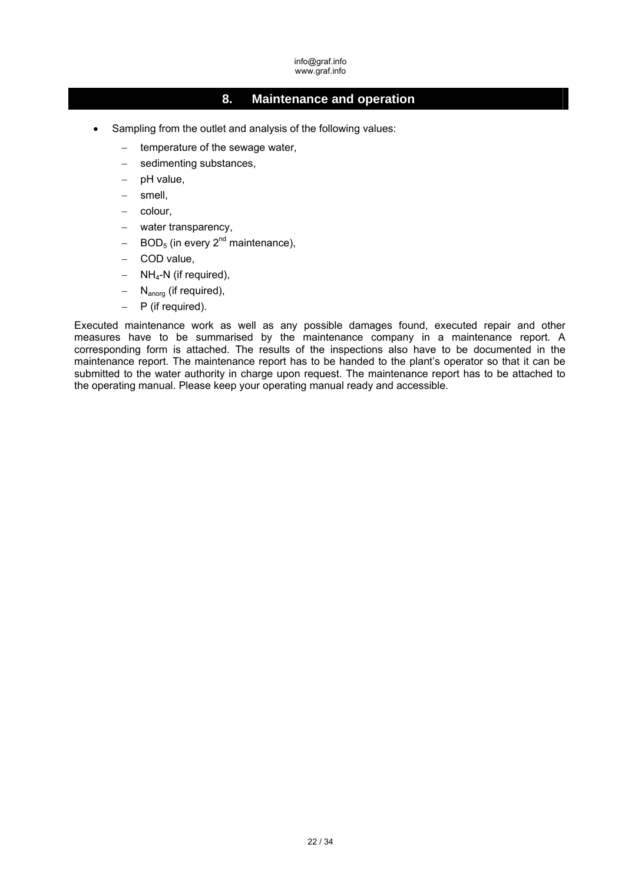# **8. Maintenance and operation**

- Sampling from the outlet and analysis of the following values:
	- temperature of the sewage water,
	- sedimenting substances,
	- pH value,
	- smell,
	- colour,
	- water transparency.
	- $BOD<sub>5</sub>$  (in every  $2<sup>nd</sup>$  maintenance),
	- COD value,
	- $-$  NH<sub>4</sub>-N (if required),
	- $-$  N<sub>anorg</sub> (if required),
	- $-$  P (if required).

Executed maintenance work as well as any possible damages found, executed repair and other measures have to be summarised by the maintenance company in a maintenance report. A corresponding form is attached. The results of the inspections also have to be documented in the maintenance report. The maintenance report has to be handed to the plant's operator so that it can be submitted to the water authority in charge upon request. The maintenance report has to be attached to the operating manual. Please keep your operating manual ready and accessible.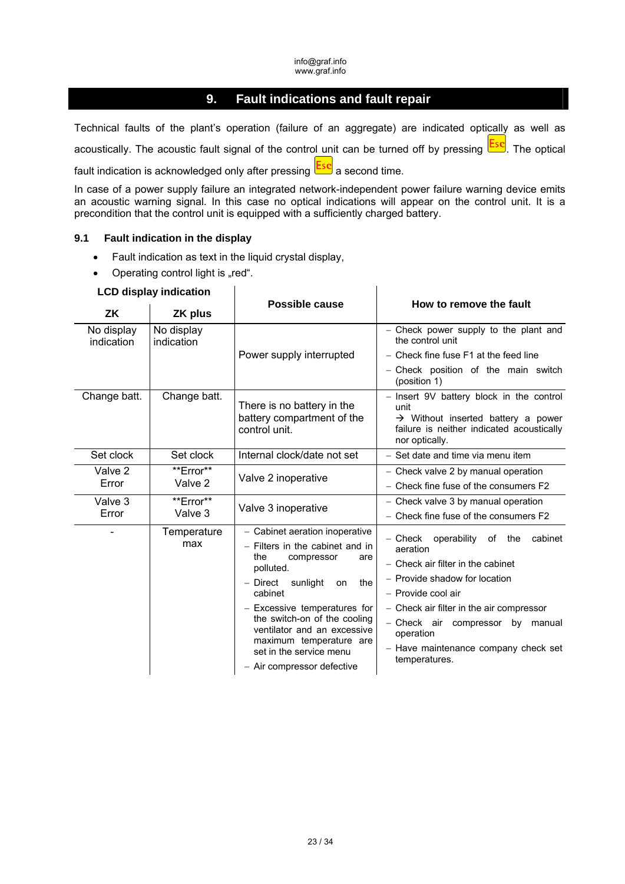# **9. Fault indications and fault repair**

Technical faults of the plant's operation (failure of an aggregate) are indicated optically as well as acoustically. The acoustic fault signal of the control unit can be turned off by pressing **Esc**. The optical fault indication is acknowledged only after pressing  $\frac{\textsf{Esc}}{\textsf{a}}$  a second time.

In case of a power supply failure an integrated network-independent power failure warning device emits an acoustic warning signal. In this case no optical indications will appear on the control unit. It is a precondition that the control unit is equipped with a sufficiently charged battery.

 $\overline{1}$ 

#### **9.1 Fault indication in the display**

Fault indication as text in the liquid crystal display,

 $\overline{\phantom{a}}$ 

• Operating control light is "red".

### **LCD display indication**

| ZK                       | ZK plus                  | <b>Possible cause</b>                                                                                                                                                                                                                                                                                                                      | How to remove the fault                                                                                                                                                                                                                                                                                   |  |  |  |  |
|--------------------------|--------------------------|--------------------------------------------------------------------------------------------------------------------------------------------------------------------------------------------------------------------------------------------------------------------------------------------------------------------------------------------|-----------------------------------------------------------------------------------------------------------------------------------------------------------------------------------------------------------------------------------------------------------------------------------------------------------|--|--|--|--|
| No display<br>indication | No display<br>indication |                                                                                                                                                                                                                                                                                                                                            | - Check power supply to the plant and<br>the control unit                                                                                                                                                                                                                                                 |  |  |  |  |
|                          |                          | Power supply interrupted                                                                                                                                                                                                                                                                                                                   | - Check fine fuse F1 at the feed line                                                                                                                                                                                                                                                                     |  |  |  |  |
|                          |                          |                                                                                                                                                                                                                                                                                                                                            | - Check position of the main switch<br>(position 1)                                                                                                                                                                                                                                                       |  |  |  |  |
| Change batt.             | Change batt.             | There is no battery in the<br>battery compartment of the<br>control unit.                                                                                                                                                                                                                                                                  | - Insert 9V battery block in the control<br>unit<br>$\rightarrow$ Without inserted battery a power<br>failure is neither indicated acoustically<br>nor optically.                                                                                                                                         |  |  |  |  |
| Set clock                | Set clock                | Internal clock/date not set                                                                                                                                                                                                                                                                                                                | - Set date and time via menu item                                                                                                                                                                                                                                                                         |  |  |  |  |
| Valve 2                  | **Error**                | Valve 2 inoperative                                                                                                                                                                                                                                                                                                                        | - Check valve 2 by manual operation                                                                                                                                                                                                                                                                       |  |  |  |  |
| Error                    | Valve 2                  |                                                                                                                                                                                                                                                                                                                                            | - Check fine fuse of the consumers F2                                                                                                                                                                                                                                                                     |  |  |  |  |
| Valve 3                  | **Error**                | Valve 3 inoperative                                                                                                                                                                                                                                                                                                                        | - Check valve 3 by manual operation                                                                                                                                                                                                                                                                       |  |  |  |  |
| Error                    | Valve 3                  |                                                                                                                                                                                                                                                                                                                                            | - Check fine fuse of the consumers F2                                                                                                                                                                                                                                                                     |  |  |  |  |
|                          | Temperature<br>max       | - Cabinet aeration inoperative<br>- Filters in the cabinet and in<br>the<br>compressor<br>are<br>polluted.<br>- Direct sunlight<br>the<br>on<br>cabinet<br>- Excessive temperatures for<br>the switch-on of the cooling<br>ventilator and an excessive<br>maximum temperature are<br>set in the service menu<br>- Air compressor defective | - Check operability<br>of<br>the<br>cabinet<br>aeration<br>- Check air filter in the cabinet<br>- Provide shadow for location<br>- Provide cool air<br>- Check air filter in the air compressor<br>- Check air compressor by manual<br>operation<br>- Have maintenance company check set<br>temperatures. |  |  |  |  |
|                          |                          |                                                                                                                                                                                                                                                                                                                                            |                                                                                                                                                                                                                                                                                                           |  |  |  |  |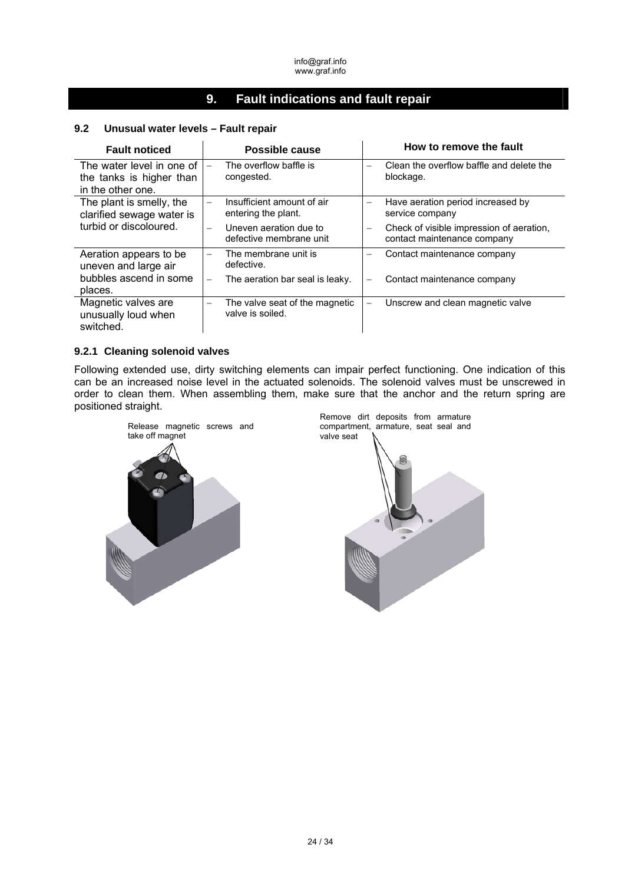# **9. Fault indications and fault repair**

| <b>Fault noticed</b>                                    | Possible cause                                                          | How to remove the fault                                                                             |  |  |  |  |
|---------------------------------------------------------|-------------------------------------------------------------------------|-----------------------------------------------------------------------------------------------------|--|--|--|--|
| The water level in one of<br>the tanks is higher than   | The overflow baffle is<br>congested.                                    | Clean the overflow baffle and delete the<br>$\equiv$<br>blockage.                                   |  |  |  |  |
| in the other one.                                       |                                                                         |                                                                                                     |  |  |  |  |
| The plant is smelly, the<br>clarified sewage water is   | Insufficient amount of air<br>entering the plant.                       | Have aeration period increased by<br>$\overline{\phantom{0}}$<br>service company                    |  |  |  |  |
| turbid or discoloured.                                  | Uneven aeration due to<br>$\qquad \qquad -$<br>defective membrane unit  | Check of visible impression of aeration,<br>$\overline{\phantom{0}}$<br>contact maintenance company |  |  |  |  |
| Aeration appears to be<br>uneven and large air          | The membrane unit is<br>$\overline{\phantom{0}}$<br>defective.          | Contact maintenance company<br>—                                                                    |  |  |  |  |
| bubbles ascend in some<br>places.                       | The aeration bar seal is leaky.<br>$\overline{\phantom{m}}$             | Contact maintenance company<br>-                                                                    |  |  |  |  |
| Magnetic valves are<br>unusually loud when<br>switched. | The valve seat of the magnetic<br>$\qquad \qquad -$<br>valve is soiled. | Unscrew and clean magnetic valve                                                                    |  |  |  |  |

## **9.2 Unusual water levels – Fault repair**

#### **9.2.1 Cleaning solenoid valves**

Following extended use, dirty switching elements can impair perfect functioning. One indication of this can be an increased noise level in the actuated solenoids. The solenoid valves must be unscrewed in order to clean them. When assembling them, make sure that the anchor and the return spring are positioned straight.



Remove dirt deposits from armature compartment, armature, seat seal and valve seat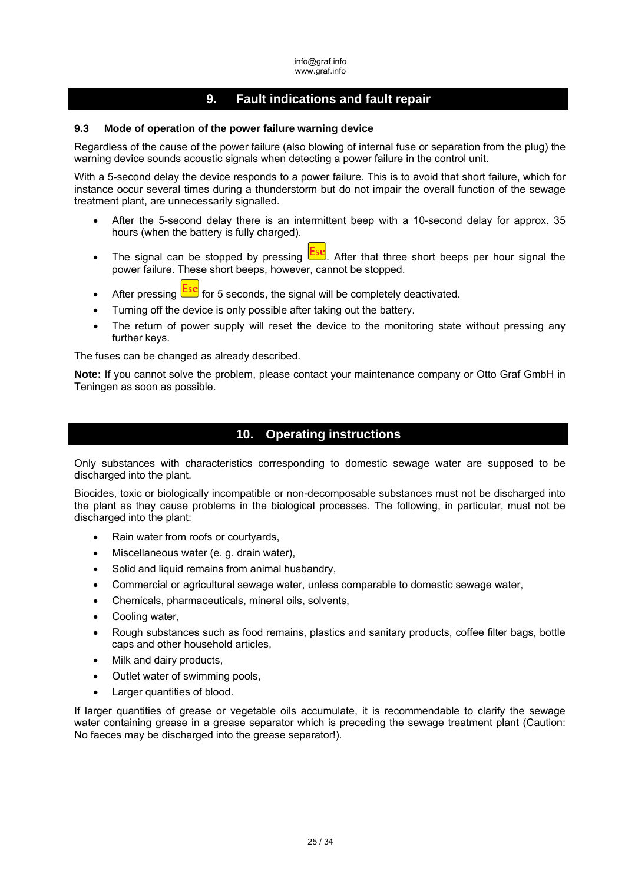# **9. Fault indications and fault repair**

### **9.3 Mode of operation of the power failure warning device**

Regardless of the cause of the power failure (also blowing of internal fuse or separation from the plug) the warning device sounds acoustic signals when detecting a power failure in the control unit.

With a 5-second delay the device responds to a power failure. This is to avoid that short failure, which for instance occur several times during a thunderstorm but do not impair the overall function of the sewage treatment plant, are unnecessarily signalled.

- After the 5-second delay there is an intermittent beep with a 10-second delay for approx. 35 hours (when the battery is fully charged).
- The signal can be stopped by pressing  $\frac{|\textsf{Esc}|}{|\textsf{Lsc}|}$ . After that three short beeps per hour signal the power failure. These short beeps, however, cannot be stopped.
- After pressing  $\frac{|\text{LSC}|}{|\text{LSC}|}$  for 5 seconds, the signal will be completely deactivated.
- Turning off the device is only possible after taking out the battery.
- The return of power supply will reset the device to the monitoring state without pressing any further keys.

The fuses can be changed as already described.

**Note:** If you cannot solve the problem, please contact your maintenance company or Otto Graf GmbH in Teningen as soon as possible.

# **10. Operating instructions**

Only substances with characteristics corresponding to domestic sewage water are supposed to be discharged into the plant.

Biocides, toxic or biologically incompatible or non-decomposable substances must not be discharged into the plant as they cause problems in the biological processes. The following, in particular, must not be discharged into the plant:

- Rain water from roofs or courtyards,
- Miscellaneous water (e. g. drain water),
- Solid and liquid remains from animal husbandry,
- Commercial or agricultural sewage water, unless comparable to domestic sewage water,
- Chemicals, pharmaceuticals, mineral oils, solvents,
- Cooling water,
- Rough substances such as food remains, plastics and sanitary products, coffee filter bags, bottle caps and other household articles,
- Milk and dairy products,
- Outlet water of swimming pools,
- Larger quantities of blood.

If larger quantities of grease or vegetable oils accumulate, it is recommendable to clarify the sewage water containing grease in a grease separator which is preceding the sewage treatment plant (Caution: No faeces may be discharged into the grease separator!).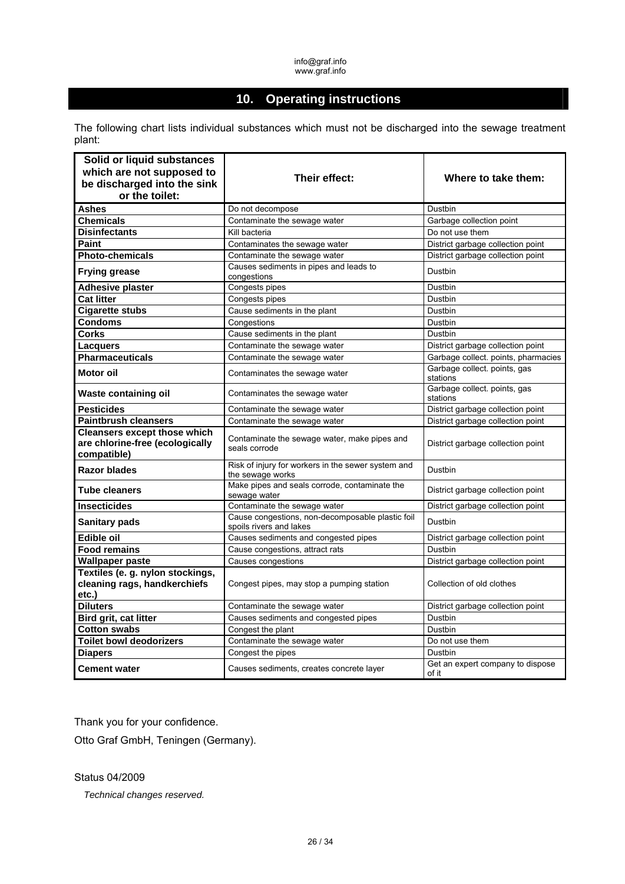# **10. Operating instructions**

The following chart lists individual substances which must not be discharged into the sewage treatment plant:

| Solid or liquid substances                                                            |                                                                             |                                           |
|---------------------------------------------------------------------------------------|-----------------------------------------------------------------------------|-------------------------------------------|
| which are not supposed to                                                             | Their effect:                                                               | Where to take them:                       |
| be discharged into the sink                                                           |                                                                             |                                           |
| or the toilet:                                                                        |                                                                             |                                           |
| <b>Ashes</b>                                                                          | Do not decompose                                                            | Dustbin                                   |
| <b>Chemicals</b>                                                                      | Contaminate the sewage water                                                | Garbage collection point                  |
| <b>Disinfectants</b>                                                                  | Kill bacteria                                                               | Do not use them                           |
| Paint                                                                                 | Contaminates the sewage water                                               | District garbage collection point         |
| <b>Photo-chemicals</b>                                                                | Contaminate the sewage water                                                | District garbage collection point         |
| <b>Frying grease</b>                                                                  | Causes sediments in pipes and leads to<br>congestions                       | Dustbin                                   |
| <b>Adhesive plaster</b>                                                               | Congests pipes                                                              | Dustbin                                   |
| <b>Cat litter</b>                                                                     | Congests pipes                                                              | Dustbin                                   |
| <b>Cigarette stubs</b>                                                                | Cause sediments in the plant                                                | Dustbin                                   |
| <b>Condoms</b>                                                                        | Congestions                                                                 | Dustbin                                   |
| <b>Corks</b>                                                                          | Cause sediments in the plant                                                | Dustbin                                   |
| <b>Lacquers</b>                                                                       | Contaminate the sewage water                                                | District garbage collection point         |
| <b>Pharmaceuticals</b>                                                                | Contaminate the sewage water                                                | Garbage collect. points, pharmacies       |
| Motor oil                                                                             | Contaminates the sewage water                                               | Garbage collect. points, gas<br>stations  |
| Waste containing oil                                                                  | Contaminates the sewage water                                               | Garbage collect. points, gas<br>stations  |
| <b>Pesticides</b>                                                                     | Contaminate the sewage water                                                | District garbage collection point         |
| <b>Paintbrush cleansers</b>                                                           | Contaminate the sewage water                                                | District garbage collection point         |
| <b>Cleansers except those which</b><br>are chlorine-free (ecologically<br>compatible) | Contaminate the sewage water, make pipes and<br>seals corrode               | District garbage collection point         |
| <b>Razor blades</b>                                                                   | Risk of injury for workers in the sewer system and<br>the sewage works      | Dustbin                                   |
| <b>Tube cleaners</b>                                                                  | Make pipes and seals corrode, contaminate the<br>sewage water               | District garbage collection point         |
| <b>Insecticides</b>                                                                   | Contaminate the sewage water                                                | District garbage collection point         |
| <b>Sanitary pads</b>                                                                  | Cause congestions, non-decomposable plastic foil<br>spoils rivers and lakes | Dustbin                                   |
| <b>Edible oil</b>                                                                     | Causes sediments and congested pipes                                        | District garbage collection point         |
| <b>Food remains</b>                                                                   | Cause congestions, attract rats                                             | Dustbin                                   |
| <b>Wallpaper paste</b>                                                                | Causes congestions                                                          | District garbage collection point         |
| Textiles (e. g. nylon stockings,<br>cleaning rags, handkerchiefs<br>etc.)             | Congest pipes, may stop a pumping station                                   | Collection of old clothes                 |
| <b>Diluters</b>                                                                       | Contaminate the sewage water                                                | District garbage collection point         |
| Bird grit, cat litter                                                                 | Causes sediments and congested pipes                                        | Dustbin                                   |
| <b>Cotton swabs</b>                                                                   | Congest the plant                                                           | Dustbin                                   |
| <b>Toilet bowl deodorizers</b>                                                        | Contaminate the sewage water                                                | Do not use them                           |
| <b>Diapers</b>                                                                        | Congest the pipes                                                           | Dustbin                                   |
| <b>Cement water</b>                                                                   | Causes sediments, creates concrete layer                                    | Get an expert company to dispose<br>of it |

Thank you for your confidence.

Otto Graf GmbH, Teningen (Germany).

Status 04/2009

*Technical changes reserved.*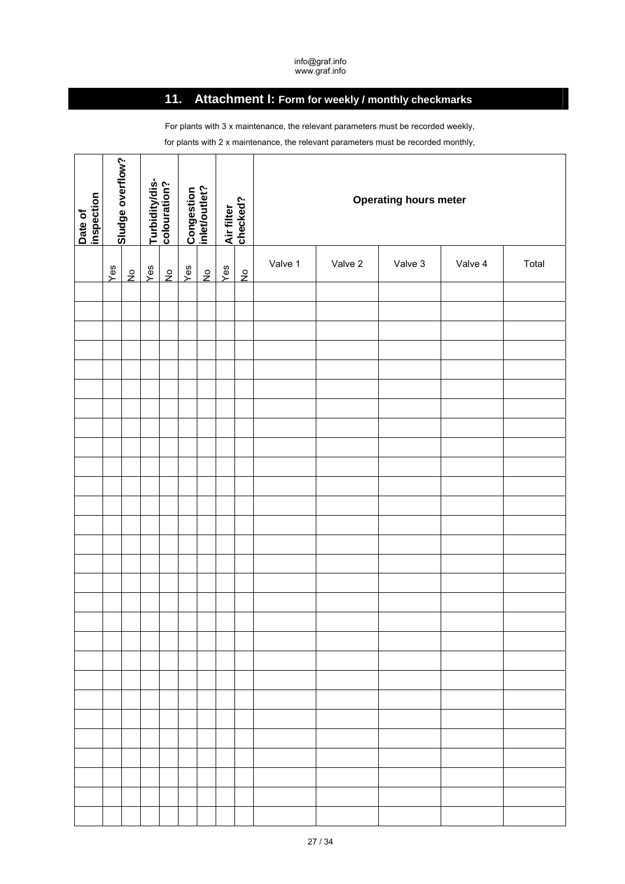# **11. Attachment I: Form for weekly / monthly checkmarks**

For plants with 3 x maintenance, the relevant parameters must be recorded weekly, for plants with 2 x maintenance, the relevant parameters must be recorded monthly,

| Date of<br>inspection | Sludge overflow? |               |                      |  |  |  |     |             |     |               |         |         |         |         |       |  |  |  |  |  |  | Turbidity/dis-<br>colouration? |  |  |  |  |  |  |  |  |  |  |  |  |  |  |  |  |  |  |  |  |  |  |  |  |  |  |  |  |  |  |  |  |  |  |  |  |  |  |  |  |  |  |  |  |  |  |  | Congestion<br>inlet/outlet? | Air filter<br>checked? |  |  |  | <b>Operating hours meter</b> |  |  |
|-----------------------|------------------|---------------|----------------------|--|--|--|-----|-------------|-----|---------------|---------|---------|---------|---------|-------|--|--|--|--|--|--|--------------------------------|--|--|--|--|--|--|--|--|--|--|--|--|--|--|--|--|--|--|--|--|--|--|--|--|--|--|--|--|--|--|--|--|--|--|--|--|--|--|--|--|--|--|--|--|--|--|--|-----------------------------|------------------------|--|--|--|------------------------------|--|--|
|                       | Yes              | $\frac{1}{2}$ | Yes<br>$\frac{1}{2}$ |  |  |  | Yes | $rac{1}{2}$ | Yes | $\frac{5}{2}$ | Valve 1 | Valve 2 | Valve 3 | Valve 4 | Total |  |  |  |  |  |  |                                |  |  |  |  |  |  |  |  |  |  |  |  |  |  |  |  |  |  |  |  |  |  |  |  |  |  |  |  |  |  |  |  |  |  |  |  |  |  |  |  |  |  |  |  |  |  |  |                             |                        |  |  |  |                              |  |  |
|                       |                  |               |                      |  |  |  |     |             |     |               |         |         |         |         |       |  |  |  |  |  |  |                                |  |  |  |  |  |  |  |  |  |  |  |  |  |  |  |  |  |  |  |  |  |  |  |  |  |  |  |  |  |  |  |  |  |  |  |  |  |  |  |  |  |  |  |  |  |  |  |                             |                        |  |  |  |                              |  |  |
|                       |                  |               |                      |  |  |  |     |             |     |               |         |         |         |         |       |  |  |  |  |  |  |                                |  |  |  |  |  |  |  |  |  |  |  |  |  |  |  |  |  |  |  |  |  |  |  |  |  |  |  |  |  |  |  |  |  |  |  |  |  |  |  |  |  |  |  |  |  |  |  |                             |                        |  |  |  |                              |  |  |
|                       |                  |               |                      |  |  |  |     |             |     |               |         |         |         |         |       |  |  |  |  |  |  |                                |  |  |  |  |  |  |  |  |  |  |  |  |  |  |  |  |  |  |  |  |  |  |  |  |  |  |  |  |  |  |  |  |  |  |  |  |  |  |  |  |  |  |  |  |  |  |  |                             |                        |  |  |  |                              |  |  |
|                       |                  |               |                      |  |  |  |     |             |     |               |         |         |         |         |       |  |  |  |  |  |  |                                |  |  |  |  |  |  |  |  |  |  |  |  |  |  |  |  |  |  |  |  |  |  |  |  |  |  |  |  |  |  |  |  |  |  |  |  |  |  |  |  |  |  |  |  |  |  |  |                             |                        |  |  |  |                              |  |  |
|                       |                  |               |                      |  |  |  |     |             |     |               |         |         |         |         |       |  |  |  |  |  |  |                                |  |  |  |  |  |  |  |  |  |  |  |  |  |  |  |  |  |  |  |  |  |  |  |  |  |  |  |  |  |  |  |  |  |  |  |  |  |  |  |  |  |  |  |  |  |  |  |                             |                        |  |  |  |                              |  |  |
|                       |                  |               |                      |  |  |  |     |             |     |               |         |         |         |         |       |  |  |  |  |  |  |                                |  |  |  |  |  |  |  |  |  |  |  |  |  |  |  |  |  |  |  |  |  |  |  |  |  |  |  |  |  |  |  |  |  |  |  |  |  |  |  |  |  |  |  |  |  |  |  |                             |                        |  |  |  |                              |  |  |
|                       |                  |               |                      |  |  |  |     |             |     |               |         |         |         |         |       |  |  |  |  |  |  |                                |  |  |  |  |  |  |  |  |  |  |  |  |  |  |  |  |  |  |  |  |  |  |  |  |  |  |  |  |  |  |  |  |  |  |  |  |  |  |  |  |  |  |  |  |  |  |  |                             |                        |  |  |  |                              |  |  |
|                       |                  |               |                      |  |  |  |     |             |     |               |         |         |         |         |       |  |  |  |  |  |  |                                |  |  |  |  |  |  |  |  |  |  |  |  |  |  |  |  |  |  |  |  |  |  |  |  |  |  |  |  |  |  |  |  |  |  |  |  |  |  |  |  |  |  |  |  |  |  |  |                             |                        |  |  |  |                              |  |  |
|                       |                  |               |                      |  |  |  |     |             |     |               |         |         |         |         |       |  |  |  |  |  |  |                                |  |  |  |  |  |  |  |  |  |  |  |  |  |  |  |  |  |  |  |  |  |  |  |  |  |  |  |  |  |  |  |  |  |  |  |  |  |  |  |  |  |  |  |  |  |  |  |                             |                        |  |  |  |                              |  |  |
|                       |                  |               |                      |  |  |  |     |             |     |               |         |         |         |         |       |  |  |  |  |  |  |                                |  |  |  |  |  |  |  |  |  |  |  |  |  |  |  |  |  |  |  |  |  |  |  |  |  |  |  |  |  |  |  |  |  |  |  |  |  |  |  |  |  |  |  |  |  |  |  |                             |                        |  |  |  |                              |  |  |
|                       |                  |               |                      |  |  |  |     |             |     |               |         |         |         |         |       |  |  |  |  |  |  |                                |  |  |  |  |  |  |  |  |  |  |  |  |  |  |  |  |  |  |  |  |  |  |  |  |  |  |  |  |  |  |  |  |  |  |  |  |  |  |  |  |  |  |  |  |  |  |  |                             |                        |  |  |  |                              |  |  |
|                       |                  |               |                      |  |  |  |     |             |     |               |         |         |         |         |       |  |  |  |  |  |  |                                |  |  |  |  |  |  |  |  |  |  |  |  |  |  |  |  |  |  |  |  |  |  |  |  |  |  |  |  |  |  |  |  |  |  |  |  |  |  |  |  |  |  |  |  |  |  |  |                             |                        |  |  |  |                              |  |  |
|                       |                  |               |                      |  |  |  |     |             |     |               |         |         |         |         |       |  |  |  |  |  |  |                                |  |  |  |  |  |  |  |  |  |  |  |  |  |  |  |  |  |  |  |  |  |  |  |  |  |  |  |  |  |  |  |  |  |  |  |  |  |  |  |  |  |  |  |  |  |  |  |                             |                        |  |  |  |                              |  |  |
|                       |                  |               |                      |  |  |  |     |             |     |               |         |         |         |         |       |  |  |  |  |  |  |                                |  |  |  |  |  |  |  |  |  |  |  |  |  |  |  |  |  |  |  |  |  |  |  |  |  |  |  |  |  |  |  |  |  |  |  |  |  |  |  |  |  |  |  |  |  |  |  |                             |                        |  |  |  |                              |  |  |
|                       |                  |               |                      |  |  |  |     |             |     |               |         |         |         |         |       |  |  |  |  |  |  |                                |  |  |  |  |  |  |  |  |  |  |  |  |  |  |  |  |  |  |  |  |  |  |  |  |  |  |  |  |  |  |  |  |  |  |  |  |  |  |  |  |  |  |  |  |  |  |  |                             |                        |  |  |  |                              |  |  |
|                       |                  |               |                      |  |  |  |     |             |     |               |         |         |         |         |       |  |  |  |  |  |  |                                |  |  |  |  |  |  |  |  |  |  |  |  |  |  |  |  |  |  |  |  |  |  |  |  |  |  |  |  |  |  |  |  |  |  |  |  |  |  |  |  |  |  |  |  |  |  |  |                             |                        |  |  |  |                              |  |  |
|                       |                  |               |                      |  |  |  |     |             |     |               |         |         |         |         |       |  |  |  |  |  |  |                                |  |  |  |  |  |  |  |  |  |  |  |  |  |  |  |  |  |  |  |  |  |  |  |  |  |  |  |  |  |  |  |  |  |  |  |  |  |  |  |  |  |  |  |  |  |  |  |                             |                        |  |  |  |                              |  |  |
|                       |                  |               |                      |  |  |  |     |             |     |               |         |         |         |         |       |  |  |  |  |  |  |                                |  |  |  |  |  |  |  |  |  |  |  |  |  |  |  |  |  |  |  |  |  |  |  |  |  |  |  |  |  |  |  |  |  |  |  |  |  |  |  |  |  |  |  |  |  |  |  |                             |                        |  |  |  |                              |  |  |
|                       |                  |               |                      |  |  |  |     |             |     |               |         |         |         |         |       |  |  |  |  |  |  |                                |  |  |  |  |  |  |  |  |  |  |  |  |  |  |  |  |  |  |  |  |  |  |  |  |  |  |  |  |  |  |  |  |  |  |  |  |  |  |  |  |  |  |  |  |  |  |  |                             |                        |  |  |  |                              |  |  |
|                       |                  |               |                      |  |  |  |     |             |     |               |         |         |         |         |       |  |  |  |  |  |  |                                |  |  |  |  |  |  |  |  |  |  |  |  |  |  |  |  |  |  |  |  |  |  |  |  |  |  |  |  |  |  |  |  |  |  |  |  |  |  |  |  |  |  |  |  |  |  |  |                             |                        |  |  |  |                              |  |  |
|                       |                  |               |                      |  |  |  |     |             |     |               |         |         |         |         |       |  |  |  |  |  |  |                                |  |  |  |  |  |  |  |  |  |  |  |  |  |  |  |  |  |  |  |  |  |  |  |  |  |  |  |  |  |  |  |  |  |  |  |  |  |  |  |  |  |  |  |  |  |  |  |                             |                        |  |  |  |                              |  |  |
|                       |                  |               |                      |  |  |  |     |             |     |               |         |         |         |         |       |  |  |  |  |  |  |                                |  |  |  |  |  |  |  |  |  |  |  |  |  |  |  |  |  |  |  |  |  |  |  |  |  |  |  |  |  |  |  |  |  |  |  |  |  |  |  |  |  |  |  |  |  |  |  |                             |                        |  |  |  |                              |  |  |
|                       |                  |               |                      |  |  |  |     |             |     |               |         |         |         |         |       |  |  |  |  |  |  |                                |  |  |  |  |  |  |  |  |  |  |  |  |  |  |  |  |  |  |  |  |  |  |  |  |  |  |  |  |  |  |  |  |  |  |  |  |  |  |  |  |  |  |  |  |  |  |  |                             |                        |  |  |  |                              |  |  |
|                       |                  |               |                      |  |  |  |     |             |     |               |         |         |         |         |       |  |  |  |  |  |  |                                |  |  |  |  |  |  |  |  |  |  |  |  |  |  |  |  |  |  |  |  |  |  |  |  |  |  |  |  |  |  |  |  |  |  |  |  |  |  |  |  |  |  |  |  |  |  |  |                             |                        |  |  |  |                              |  |  |
|                       |                  |               |                      |  |  |  |     |             |     |               |         |         |         |         |       |  |  |  |  |  |  |                                |  |  |  |  |  |  |  |  |  |  |  |  |  |  |  |  |  |  |  |  |  |  |  |  |  |  |  |  |  |  |  |  |  |  |  |  |  |  |  |  |  |  |  |  |  |  |  |                             |                        |  |  |  |                              |  |  |
|                       |                  |               |                      |  |  |  |     |             |     |               |         |         |         |         |       |  |  |  |  |  |  |                                |  |  |  |  |  |  |  |  |  |  |  |  |  |  |  |  |  |  |  |  |  |  |  |  |  |  |  |  |  |  |  |  |  |  |  |  |  |  |  |  |  |  |  |  |  |  |  |                             |                        |  |  |  |                              |  |  |
|                       |                  |               |                      |  |  |  |     |             |     |               |         |         |         |         |       |  |  |  |  |  |  |                                |  |  |  |  |  |  |  |  |  |  |  |  |  |  |  |  |  |  |  |  |  |  |  |  |  |  |  |  |  |  |  |  |  |  |  |  |  |  |  |  |  |  |  |  |  |  |  |                             |                        |  |  |  |                              |  |  |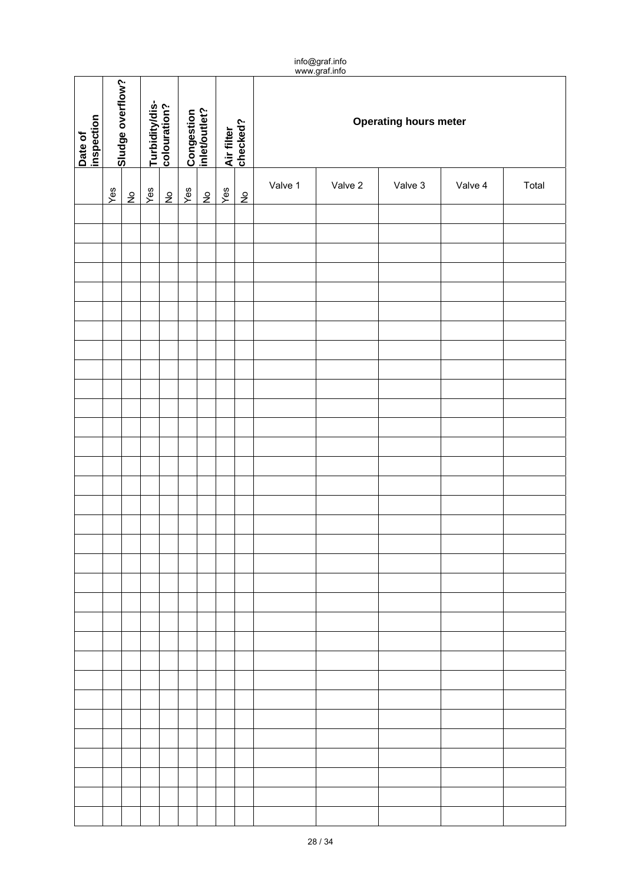|                       | info@graf.info<br>www.graf.info |             |     |             |                                |             |     |                             |                        |         |         |         |                              |  |  |
|-----------------------|---------------------------------|-------------|-----|-------------|--------------------------------|-------------|-----|-----------------------------|------------------------|---------|---------|---------|------------------------------|--|--|
| Date of<br>inspection | Sludge overflow?                |             |     |             | Turbidity/dis-<br>colouration? |             |     | Congestion<br>inlet/outlet? | Air filter<br>checked? |         |         |         | <b>Operating hours meter</b> |  |  |
|                       | Yes                             | $rac{6}{5}$ | Yes | $rac{1}{2}$ | Yes                            | $rac{1}{2}$ | Yes | $\frac{5}{2}$               | Valve 1                | Valve 2 | Valve 3 | Valve 4 | Total                        |  |  |
|                       |                                 |             |     |             |                                |             |     |                             |                        |         |         |         |                              |  |  |
|                       |                                 |             |     |             |                                |             |     |                             |                        |         |         |         |                              |  |  |
|                       |                                 |             |     |             |                                |             |     |                             |                        |         |         |         |                              |  |  |
|                       |                                 |             |     |             |                                |             |     |                             |                        |         |         |         |                              |  |  |
|                       |                                 |             |     |             |                                |             |     |                             |                        |         |         |         |                              |  |  |
|                       |                                 |             |     |             |                                |             |     |                             |                        |         |         |         |                              |  |  |
|                       |                                 |             |     |             |                                |             |     |                             |                        |         |         |         |                              |  |  |
|                       |                                 |             |     |             |                                |             |     |                             |                        |         |         |         |                              |  |  |
|                       |                                 |             |     |             |                                |             |     |                             |                        |         |         |         |                              |  |  |
|                       |                                 |             |     |             |                                |             |     |                             |                        |         |         |         |                              |  |  |
|                       |                                 |             |     |             |                                |             |     |                             |                        |         |         |         |                              |  |  |
|                       |                                 |             |     |             |                                |             |     |                             |                        |         |         |         |                              |  |  |
|                       |                                 |             |     |             |                                |             |     |                             |                        |         |         |         |                              |  |  |
|                       |                                 |             |     |             |                                |             |     |                             |                        |         |         |         |                              |  |  |
|                       |                                 |             |     |             |                                |             |     |                             |                        |         |         |         |                              |  |  |
|                       |                                 |             |     |             |                                |             |     |                             |                        |         |         |         |                              |  |  |
|                       |                                 |             |     |             |                                |             |     |                             |                        |         |         |         |                              |  |  |
|                       |                                 |             |     |             |                                |             |     |                             |                        |         |         |         |                              |  |  |
|                       |                                 |             |     |             |                                |             |     |                             |                        |         |         |         |                              |  |  |
|                       |                                 |             |     |             |                                |             |     |                             |                        |         |         |         |                              |  |  |
|                       |                                 |             |     |             |                                |             |     |                             |                        |         |         |         |                              |  |  |
|                       |                                 |             |     |             |                                |             |     |                             |                        |         |         |         |                              |  |  |
|                       |                                 |             |     |             |                                |             |     |                             |                        |         |         |         |                              |  |  |
|                       |                                 |             |     |             |                                |             |     |                             |                        |         |         |         |                              |  |  |
|                       |                                 |             |     |             |                                |             |     |                             |                        |         |         |         |                              |  |  |
|                       |                                 |             |     |             |                                |             |     |                             |                        |         |         |         |                              |  |  |
|                       |                                 |             |     |             |                                |             |     |                             |                        |         |         |         |                              |  |  |
|                       |                                 |             |     |             |                                |             |     |                             |                        |         |         |         |                              |  |  |
|                       |                                 |             |     |             |                                |             |     |                             |                        |         |         |         |                              |  |  |
|                       |                                 |             |     |             |                                |             |     |                             |                        |         |         |         |                              |  |  |
|                       |                                 |             |     |             |                                |             |     |                             |                        |         |         |         |                              |  |  |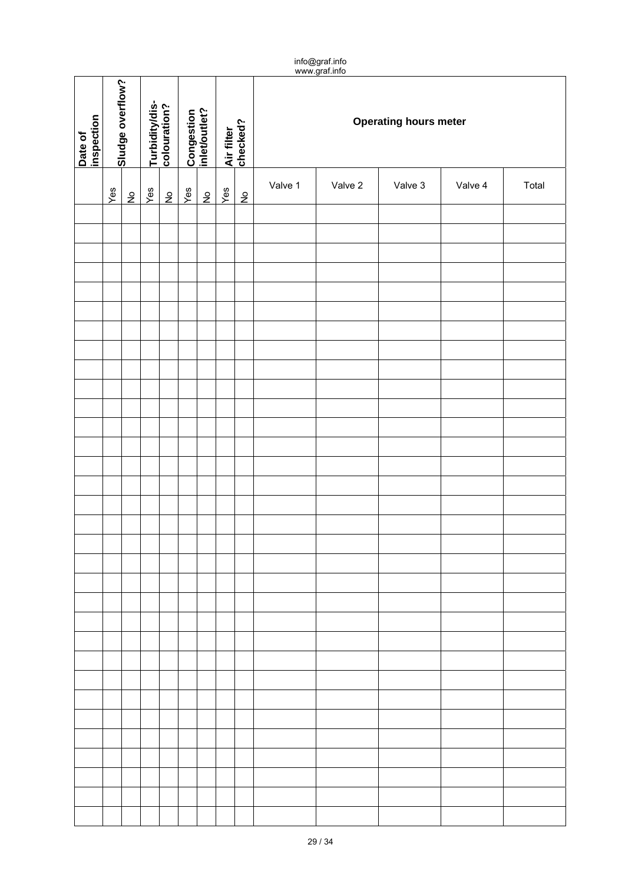|                       | info@graf.info<br>www.graf.info |             |     |             |                                |             |     |                             |                        |         |         |         |                              |  |  |
|-----------------------|---------------------------------|-------------|-----|-------------|--------------------------------|-------------|-----|-----------------------------|------------------------|---------|---------|---------|------------------------------|--|--|
| Date of<br>inspection | Sludge overflow?                |             |     |             | Turbidity/dis-<br>colouration? |             |     | Congestion<br>inlet/outlet? | Air filter<br>checked? |         |         |         | <b>Operating hours meter</b> |  |  |
|                       | Yes                             | $rac{6}{5}$ | Yes | $rac{1}{2}$ | Yes                            | $rac{1}{2}$ | Yes | $\frac{5}{2}$               | Valve 1                | Valve 2 | Valve 3 | Valve 4 | Total                        |  |  |
|                       |                                 |             |     |             |                                |             |     |                             |                        |         |         |         |                              |  |  |
|                       |                                 |             |     |             |                                |             |     |                             |                        |         |         |         |                              |  |  |
|                       |                                 |             |     |             |                                |             |     |                             |                        |         |         |         |                              |  |  |
|                       |                                 |             |     |             |                                |             |     |                             |                        |         |         |         |                              |  |  |
|                       |                                 |             |     |             |                                |             |     |                             |                        |         |         |         |                              |  |  |
|                       |                                 |             |     |             |                                |             |     |                             |                        |         |         |         |                              |  |  |
|                       |                                 |             |     |             |                                |             |     |                             |                        |         |         |         |                              |  |  |
|                       |                                 |             |     |             |                                |             |     |                             |                        |         |         |         |                              |  |  |
|                       |                                 |             |     |             |                                |             |     |                             |                        |         |         |         |                              |  |  |
|                       |                                 |             |     |             |                                |             |     |                             |                        |         |         |         |                              |  |  |
|                       |                                 |             |     |             |                                |             |     |                             |                        |         |         |         |                              |  |  |
|                       |                                 |             |     |             |                                |             |     |                             |                        |         |         |         |                              |  |  |
|                       |                                 |             |     |             |                                |             |     |                             |                        |         |         |         |                              |  |  |
|                       |                                 |             |     |             |                                |             |     |                             |                        |         |         |         |                              |  |  |
|                       |                                 |             |     |             |                                |             |     |                             |                        |         |         |         |                              |  |  |
|                       |                                 |             |     |             |                                |             |     |                             |                        |         |         |         |                              |  |  |
|                       |                                 |             |     |             |                                |             |     |                             |                        |         |         |         |                              |  |  |
|                       |                                 |             |     |             |                                |             |     |                             |                        |         |         |         |                              |  |  |
|                       |                                 |             |     |             |                                |             |     |                             |                        |         |         |         |                              |  |  |
|                       |                                 |             |     |             |                                |             |     |                             |                        |         |         |         |                              |  |  |
|                       |                                 |             |     |             |                                |             |     |                             |                        |         |         |         |                              |  |  |
|                       |                                 |             |     |             |                                |             |     |                             |                        |         |         |         |                              |  |  |
|                       |                                 |             |     |             |                                |             |     |                             |                        |         |         |         |                              |  |  |
|                       |                                 |             |     |             |                                |             |     |                             |                        |         |         |         |                              |  |  |
|                       |                                 |             |     |             |                                |             |     |                             |                        |         |         |         |                              |  |  |
|                       |                                 |             |     |             |                                |             |     |                             |                        |         |         |         |                              |  |  |
|                       |                                 |             |     |             |                                |             |     |                             |                        |         |         |         |                              |  |  |
|                       |                                 |             |     |             |                                |             |     |                             |                        |         |         |         |                              |  |  |
|                       |                                 |             |     |             |                                |             |     |                             |                        |         |         |         |                              |  |  |
|                       |                                 |             |     |             |                                |             |     |                             |                        |         |         |         |                              |  |  |
|                       |                                 |             |     |             |                                |             |     |                             |                        |         |         |         |                              |  |  |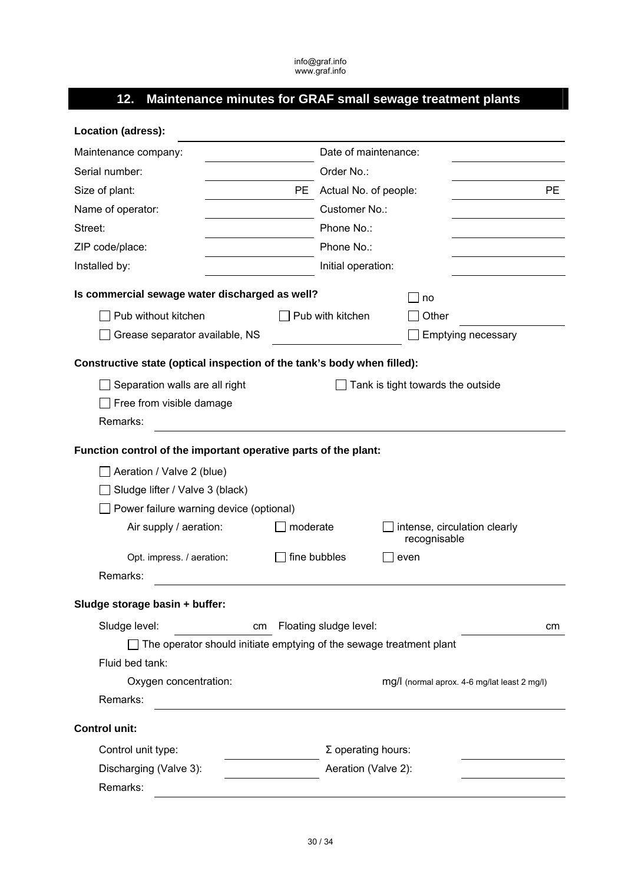# **12. Maintenance minutes for GRAF small sewage treatment plants**

| Location (adress):                                                      |                                              |
|-------------------------------------------------------------------------|----------------------------------------------|
| Maintenance company:                                                    | Date of maintenance:                         |
| Serial number:                                                          | Order No.:                                   |
| Size of plant:                                                          | <b>PE</b><br>PE Actual No. of people:        |
| Name of operator:                                                       | Customer No.:                                |
| Street:                                                                 | Phone No.:                                   |
| ZIP code/place:                                                         | Phone No.:                                   |
| Installed by:                                                           | Initial operation:                           |
| Is commercial sewage water discharged as well?                          | no                                           |
| Pub without kitchen                                                     | Pub with kitchen<br>Other                    |
| Grease separator available, NS                                          | <b>Emptying necessary</b>                    |
| Constructive state (optical inspection of the tank's body when filled): |                                              |
| Separation walls are all right                                          | Tank is tight towards the outside            |
| Free from visible damage                                                |                                              |
| Remarks:                                                                |                                              |
| Function control of the important operative parts of the plant:         |                                              |
| Aeration / Valve 2 (blue)                                               |                                              |
| Sludge lifter / Valve 3 (black)                                         |                                              |
| Power failure warning device (optional)                                 |                                              |
| Air supply / aeration:<br>moderate                                      | intense, circulation clearly<br>recognisable |
| Opt. impress. / aeration:                                               | fine bubbles<br>even                         |
| Remarks:                                                                |                                              |
| Sludge storage basin + buffer:                                          |                                              |
| Sludge level:<br>cm                                                     | Floating sludge level:<br>cm                 |
| The operator should initiate emptying of the sewage treatment plant     |                                              |
| Fluid bed tank:                                                         |                                              |
| Oxygen concentration:                                                   | mg/l (normal aprox. 4-6 mg/lat least 2 mg/l) |
| Remarks:                                                                |                                              |
| <b>Control unit:</b>                                                    |                                              |
| Control unit type:                                                      | $\Sigma$ operating hours:                    |
|                                                                         |                                              |
| Discharging (Valve 3):                                                  | Aeration (Valve 2):                          |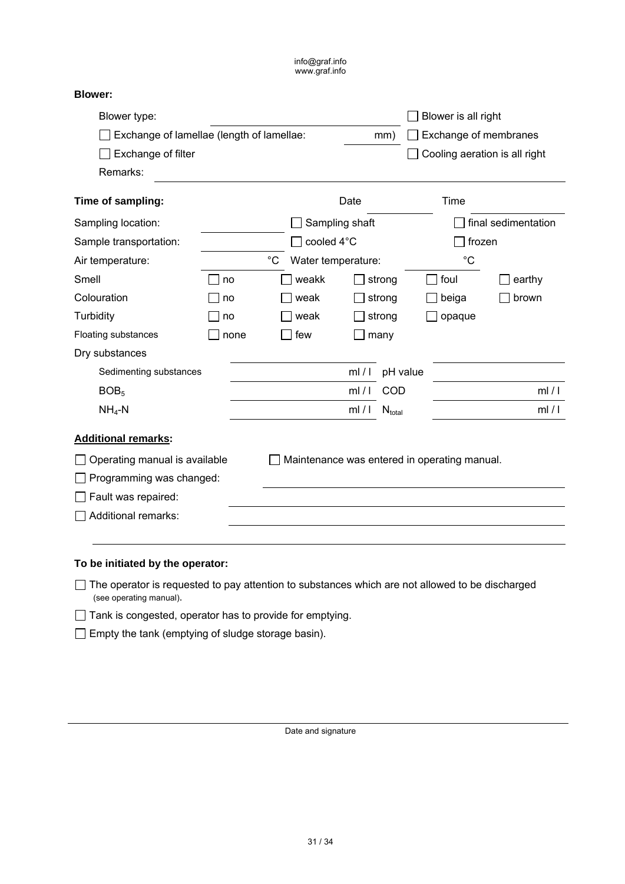| Blower type:                  |                                                  |             |                    |                |             |          |                                              |                     |  |  |  |  |
|-------------------------------|--------------------------------------------------|-------------|--------------------|----------------|-------------|----------|----------------------------------------------|---------------------|--|--|--|--|
|                               | Exchange of lamellae (length of lamellae:<br>mm) |             |                    |                |             |          |                                              |                     |  |  |  |  |
| Exchange of filter            |                                                  |             |                    |                |             |          |                                              |                     |  |  |  |  |
| Remarks:                      |                                                  |             |                    |                |             |          |                                              |                     |  |  |  |  |
| Time of sampling:             |                                                  |             |                    | Date           |             |          | Time                                         |                     |  |  |  |  |
| Sampling location:            |                                                  |             |                    | Sampling shaft |             |          |                                              | final sedimentation |  |  |  |  |
| Sample transportation:        |                                                  |             | cooled 4°C         |                |             |          | frozen                                       |                     |  |  |  |  |
| Air temperature:              |                                                  | $^{\circ}C$ | Water temperature: |                |             |          | $^{\circ}C$                                  |                     |  |  |  |  |
| Smell                         | no                                               |             | weakk              |                | strong      |          | foul                                         | earthy              |  |  |  |  |
| Colouration                   | no                                               |             | weak               |                | strong      |          | beiga                                        | brown               |  |  |  |  |
| Turbidity                     | no                                               |             | weak               | strong         |             | opaque   |                                              |                     |  |  |  |  |
| Floating substances           | none                                             | few         |                    |                | many        |          |                                              |                     |  |  |  |  |
| Dry substances                |                                                  |             |                    |                |             |          |                                              |                     |  |  |  |  |
| Sedimenting substances        |                                                  |             |                    | ml/1           |             | pH value |                                              |                     |  |  |  |  |
| BOB <sub>5</sub>              |                                                  |             |                    |                | ml/I<br>COD |          |                                              | ml/1                |  |  |  |  |
| $NH4-N$                       |                                                  | ml/1        |                    |                | $N_{total}$ |          |                                              | ml/1                |  |  |  |  |
| <b>Additional remarks:</b>    |                                                  |             |                    |                |             |          |                                              |                     |  |  |  |  |
| Operating manual is available |                                                  |             |                    |                |             |          | Maintenance was entered in operating manual. |                     |  |  |  |  |
| Programming was changed:      |                                                  |             |                    |                |             |          |                                              |                     |  |  |  |  |
| Fault was repaired:           |                                                  |             |                    |                |             |          |                                              |                     |  |  |  |  |
| Additional remarks:           |                                                  |             |                    |                |             |          |                                              |                     |  |  |  |  |
|                               |                                                  |             |                    |                |             |          |                                              |                     |  |  |  |  |

**To be initiated by the operator:** 

The operator is requested to pay attention to substances which are not allowed to be discharged (see operating manual).

Tank is congested, operator has to provide for emptying.

 $\Box$  Empty the tank (emptying of sludge storage basin).

Date and signature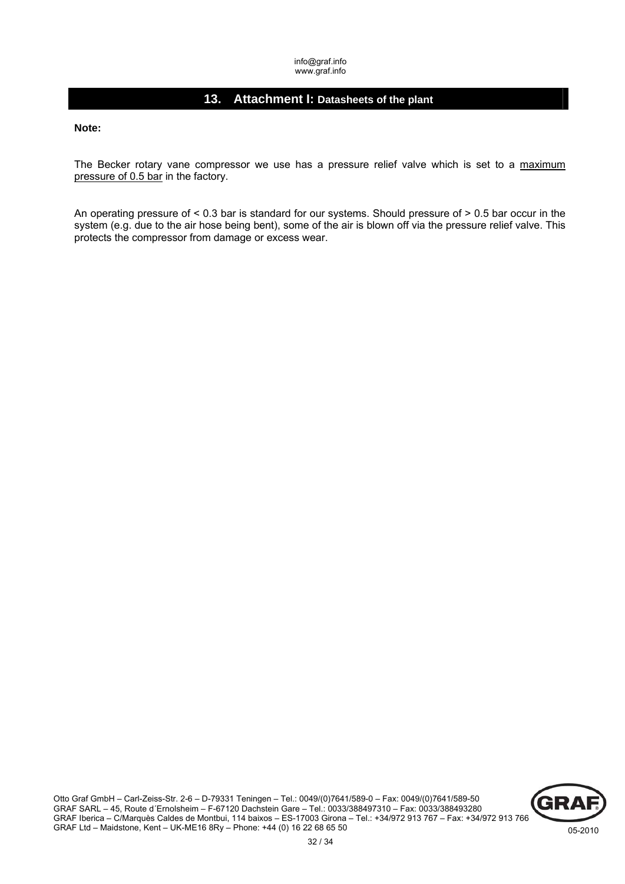# **13. Attachment I: Datasheets of the plant**

**Note:** 

The Becker rotary vane compressor we use has a pressure relief valve which is set to a maximum pressure of 0.5 bar in the factory.

An operating pressure of < 0.3 bar is standard for our systems. Should pressure of > 0.5 bar occur in the system (e.g. due to the air hose being bent), some of the air is blown off via the pressure relief valve. This protects the compressor from damage or excess wear.

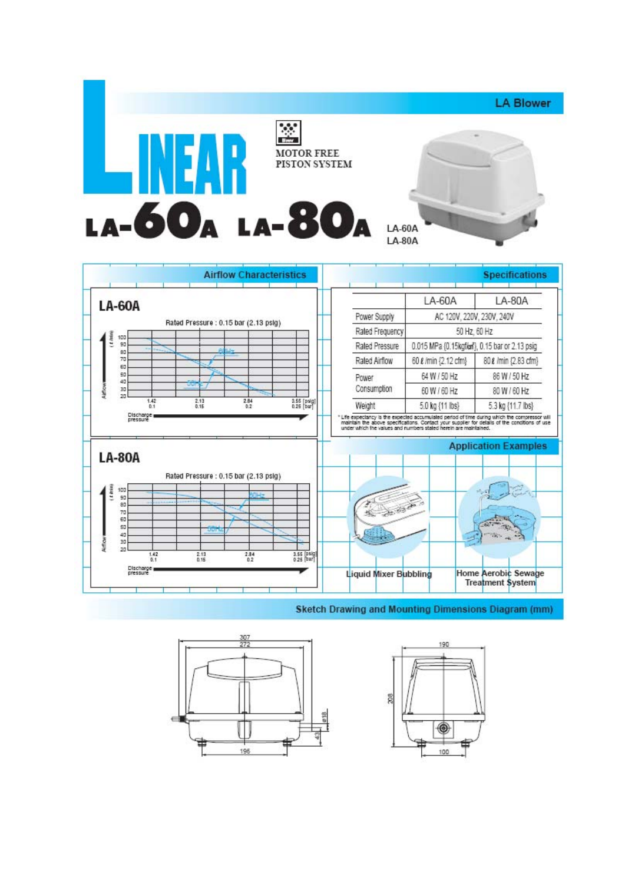



**Sketch Drawing and Mounting Dimensions Diagram (mm)**